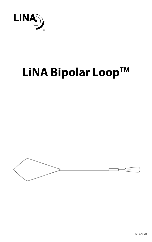

# **LiNA Bipolar Loop™**

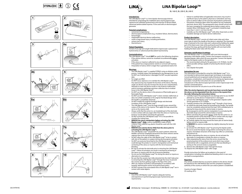











2022-04 FV0145G







 $\mathbb{S}$ 





## **LiNA Bipolar Loop™**

BL-160-E, BL-200-E, BL-240-E

### **Intended Use:**

The LiNA Bipolar Loop<sup>TM</sup> is a 5mm bipolar electrosurgical device intended for amputating the mobilized uterus during laparoscopic supracervical (subtotal) hysterectomy and resection of devasculated subserosal pedunculated myomas. To be used with an electrosurgical generator.

### **Potential complications:**

- conversion to laparotomy; • electrosurgical complications (e.g., insulation failure, electrocution); • hemorrhage:
- implantable electrical device malfunction;
- small or large bowel injury, including perforation;
- urinary tract injury;
- thermal burns.

## **Patient Population:**

Female of any age and weight dedicated to laparoscopic supracervical hysterectomy or subserosal penduculated myomectomy.

#### **Contraindications:**

- The LiNA Bipolar LoopTM should **NOT** be used in the following situations: • If the uterine isthmus cannot be visualized circumferentially before activation.
- If the uterus or myoma is adhered to any adjacent organs.
- If the patient has a large posterior uterine or cervical wall myomas
- Amputation of uterus which is larger than a gestational week of 20.

#### **Warnings:**

- <u>• The LiNA Bipolar Loop™ is supplied STERILE using an ethylene oxide</u> process. Carefully inspect the packaging for any damage prior to use. Do NOT use if sterile barrier is damaged. Do NOT use past expiration date.
- For single use ONLY. Do NOT reuse, reprocess or re-sterilize the LiNA Bipolar Loop™. Any reprocessing may impede the functions of the device. Reusing single use devices may also increase the risk of cross contamination. Attempts to clean the device results in risk of device malfunction and/or erroneous pathology specimen collection due to residual tissue in the LiNA Bipolar Loop™.
- Do NOT use the device when in the presence of flammable gases or flammable fluids.
- Do NOT use if the LiNA Bipolar Loop<sup>TM</sup> is bent, twisted, malformed, or does not unfold completely to the original rhomboid design when the handle is completely advanced.
- Do NOT modify the original rhomboid design and electrode insulation of the LiNA Bipolar Loop™.
- The LiNA Bipolar Loop™ must be large enough to pass around the corpus of the uterus or the myoma. Then apply the loop around the cervix or the myoma stalk.
- Always verify that the active (i.e. un-insulated) part of the electrode is not in contact with any organ other than the uterus or myoma (e.g. bowel or vessel) before activating the generator.
- Do NOT activate the LiNA Bipolar Loop<sup>TM</sup> if it is not possible to visualize the cutting loop.
- **• REMOVE the uterus manipulator before activating the LiNA Bipolar Loop™. Only** a uterus manipulator made of NON-CONDUCTING material (e.g. plastic) should be used with the LiNA Bipolar Loop™.
- **• REMOVE intra uterine device (IUD) from the uterus prior to activating the LiNA Bipolar LoopTM.**
- The LiNA Bipolar Loop™ should NOT be used in patients where the bladder cannot be completely dissected at the lower anterior uterine segment due to the risk of bladder injury.<br>• Do NOT allow the cable of the LiNA Bipolar Loop™ to be in contact
- with skin of the patient or surgeon during electrosurgical activation. • Do NOT use excessive force/load to the LiNA Bipolar Loop™. This
- could damage the product or result in strangulation and mechanical sectioning of the uterus or myoma with the risk of excessive bleeding.
- Be sure to activate the electrode prior to retracting the LiNA Bipolar Loop™. Failure of activation can result in mechanical sectioning of the uterus or myoma with the risk of excessive bleeding.
- Do not use the LINA Bipolar Loop<sup>TM</sup> for slicing the uterus or myoma as alternative to morcellation.
- Be sure that the ceramic tip is fully retracted into the shaft /tube prior to extracting the LiNA Bipolar Loop™ through the trocar to prevent the ceramic tip from getting caught in the flap of the valve.
- After use, dispose of product and packaging in accordance with hospital, administrative and/or local government policy.
- DO NOT activate if the uninsulated wires of LiNA Bipolar Loop<sup>TM</sup> are in contact with metal objects.

#### **Precautions:**

 $\overline{\cdot}$  Use of the LiNA Bipolar Loop<sup>TM</sup> requires adequate training and experience in performing laparoscopic hysterectomy and myomectomy.

- Failure to carefully follow all applicable instructions may result in significant injury to the patient, physician or attendants and may have an adverse effect on the outcome of procedures performed.
- Precautions should be taken when the patient has any implanted electronic device (IED). The perioperative team should consult with the team managing the implanted device before surgery and as needed. When LiNA Bipolar Loop™ is activated it should be kept more than ½ inch (1 cm) from the IED.
- First that  $\alpha$  ment is employed. Carefully use the LiNA Bipolar Loop $\mathbb{M}$  with other sharp tools as wire's insulation damage can lead to device malfunction.

### **Product description:**

The LiNA Bipolar Loop<sup>TM</sup> consists of a black outer-tube and a blue inner-tube at which the handle of the device is attached. The rhomboid loop is fastened to the inner-tube and is advanced by holding the upper part of the black outer-tube while pushing forward the blue handle. To retract the loop, gently pull the blue handle with one hand while holding the black outer-tube with the other.

### **Generator specifications & settings:**

<u>The LiNA Bipolar Loop™ is compatible</u> with most electrosurgical generators with bipolar outlet. Connect the European connector to a standard bipolar cable which fits your generator. Connect the bipolar cable to the bipolar outlet on the generator.

- The recommended setting for the generator is 55-70 Watts. Use the lowest possible settings capable of achieving the desired surgical effect.
- Use a bipolar foot pedal.

#### **Instructions for use:**

This information is provided for using the LiNA Bipolar Loop<sup>TM</sup>. It is not intended to demonstrate laparoscopic techniques or procedures. Consult published and recognized medical literature for appropriate techniques, complications, and hazards prior to doing any laparoscopic procedure. Consult the instructions for use provided by the manufacturer of the electrosurgical generator and/or laparoscope to be used for contraindications.

Read the instruction for use prior to use of this device!

#### **After the uterine ligaments and vessels have been correctly ligated, the uterus can be amputated from the cervix or the myoma from the stalk, following the instructions below:**

- 1. Carefully inspect the packaging for any damage prior to use. Do NOT attempt to use the device if sterile barrier is damaged. 2. Connect the LiNA Bipolar Loop™ to the generator's bipolar outlet.
- Set the generator at 55-70 Watts. 3. Carefully introduce the LiNA Bipolar Loop™ through a 5mm trocar.
- 4. **a.** Unfold the electrode (loop) by forwarding the handle. The handle must be completely advanced and the loop 100% unfolded prior to placing the loop around the uterine body or myoma. **b.** Use grasper(s) and the uterine manipulator to assist placing the electrode (loop) around the uterine body or myoma.
- 5. Before activating the generator always verify that the active (i.e. uninsulated) portion of the electrode is not in contact with any organ (e.g. bowel or vessel) other than the uterus or myoma.
- 6. **a.** Carefully tighten the loop around the lower part of uterine body (above cervix) or myoma stalk. **b. REMOVE** the uterine manipulator by slightly releasing the tension
- of the loop. 7. **a.** Activate the LiNA Bipolar LoopTM by pressing the bipolar pedal. Be sure to await the bipolar energy before sectioning the uterus or myoma. Immediate retraction of the loop may inflict an unintended mechanical cut.

**b.** After amputating the uterus or myoma, do not activate the electrodes to manipulate or divide the uterus or myoma.

- 8. After amputating the uterus from the cervix, ensure that the proximal portion of the endocervical canal which may contain endometrial cells is coagulated, and ensure that any bleeding or oozing on the cervical stump is coagulated.
- 9. Remove the LiNA Bipolar Loop™ through the trocar.
- 10. Dispose the LiNA Bipolar Loop™ after usage.

Provide instructions for follow-up to patients in the event of complications including intra abdominal bleeding which in rare cases can lead to exsanguinations.

#### **Reporting:**

Any serious incident that has occurred in relation to the device should be reported to the LiNA Medical ApS and the competent regulatory authority of the country in which the user and/or patient is established.

Country of origin: Poland. CE marking 2012.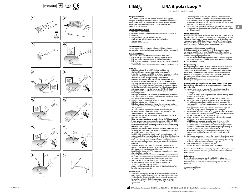









 $\mathbf{z}$ 

**70 W 55 W** 

 $\%$ 









## **LiNA Bipolar Loop™**

BL-160-E, BL-200-E, BL-240-E

### **Tilsigtet anvendelse:**

LiNA Bipolar LoopTM er et 5 mm bipolart elektrokirurgisk apparat beregnet til at amputere den mobiliserede uterus under laparoskopisk supracervikal (subtotal) hysterektomi og resektion af devaskulerede subserosale pedunkulerede myomer. Til anvendelse med en elektrokirurgisk generator.

### **Potentielle komplikationer:**

- konvertering til laparotomi; • elektrokirurgiske komplikationer (f.eks. isoleringsfejl, strømskade); • blødning;
- 
- funktionsfejl i implanterbart elektrisk udstyr; • skade på tynd- eller tyktarmen herunder perforering;
- urinvejsskade; • termiske forbrændinger.
- 

## **Patientpopulation:**

Kvinder uanset alder og vægt, der er bestemt til laparoskopisk supracervikal hysterektomi eller subserosal pedunkuleret myomektomi.

### **Kontraindikationer:**

- LiNA Bipolar LoopTM må **IKKE** bruges i følgende situationer:
- Hvis omkredsen af isthmus uterus ikke kan ses før aktivering. • Hvis uterus eller myom adhærerer til et tilstødende organ.
- Hvis patienten har et stort posteriort uterusmyom eller et intramuralt myom i cervix.
- Amputation af uterus, der er større end svarende til gestationsuge 20.

### **Advarsler:**

- <u>• Lina Bipolar Loop™ leveres i STERIL form ved hjælp af en</u> ethylenoxidproces. Inspicer omhyggeligt emballagen for beskadigelse inden brug. Må IKKE anvendes, hvis den sterile barriere er beskadiget. Brug IKKE instrumentet efter udløbsdatoen. • Instrumentet er KUN beregnet til engangsanvendelse.
- LiNA Bipolar Loop™ må IKKE genanvendes, reprocesseres eller resteriliseres. Genbearbejdning af produktet kan beskadige dets funktioner. Genanvendelse af engangsinstrumenter kan også øge risikoen for krydskontaminering. Forsøg på at rengøre anordningen kan indebære risiko for funktionsfejl og/eller fejlagtig indsamling af patologiske prøver på grund af restvævet i LiNA Bipolar Loop™.
- Brug IKKE enheden i nærheden af letantændelige gasser eller brandfarlige væsker.
- LiNA Bipolar LoopTM må ikke anvendes, hvis den er bøjet, skæv eller ikke folder sig præcist ud til det oprindelige rhombeformede design, når håndtaget er skubbet helt frem.
- Det oprindelige rhombeformede design og elektrodeisolering af LiNA Bipolar LoopTM må IKKE ændres.
- LiNA Bipolar LoopTM skal være så stor, at den kan passere rundt om corporis uteri eller myom. Anbring derefter slyngen rundt om cervix eller myomstilk.
- Man skal altid sikre sig, at den aktive (dvs. ikke-isolerede) del af elektroden ikke er i kontakt med andre organer end uterus (f.eks. tarm eller blodkar), før generatoren aktiveres.
- LiNA Bipolar Loop™ må ikke aktiveres, hvis det ikke er muligt at se den skærende slynge.
- **• Fjern uterusmanipulatoren før aktivering af LiNA Bipolar LoopTM.**  Der må **kun** anvendes en uterusmanipulator lavet af IKKE-LEDENDE materialer (f.eks. plastik) sammen med LiNA Bipolar Loop™
- **• FJERN den intrauterine anordning (IUD) fra uterus før aktivering af LiNA Bipolar Loop™.**<br>• LiNA Bipolar Loop™ bør IKKE anvendes til patienter, hvor blæren ikke
- kan dissekeres fuldstændigt ved det nedre anteriore uterussegment på grund af risiko for blæreskade.
- Lad IKKE ledningen på LiNA Bipolar LoopTM komme i kontakt med patientens eller kirurgens hud i løbet af en elektrokirurgisk aktivering. • Brug IKKE overdreven kraft under brugen af LiNA Bipolar LoopTM.
- Dette kan beskadige produktet eller resultere i strangulering eller mekanisk sektionering af uterus eller myom med risiko for voldsom blødning.
- Sørg for at aktivere elektroden, før du trækker LiNA Bipolar Loop™ tilbage. Undladelse af aktivering kan resultere i sektionering af uterus eller myom med risiko for voldsom blødning.
- Brug ikke LiNA Bipolar LoopTM til at opskære uterus eller myom som alternativ til en morcellering.
- Sørg for, at den keramiske spids er trukket helt tilbage i skaftet/røret, før LiNA Bipolar LoopTM trækkes ud gennem trokaren for at forhindre, at den keramiske spids bliver fastklemt i klappen på ventilen.
- Efter brug skal produkt og emballage bortskaffes i henhold til de retningslinjer, som hospitalet/administrationen eller sundhedsmyndighederne foreskriver.
- Aktiver IKKE, hvis de uisolerede ledninger til LiNA Bipolar Loop™ er i kontakt med metalgenstande.

#### **Forholdsregler:**

- Anvendelse af LiNA Bipolar LoopTM kræver tilstrækkelig oplæring og erfaring med at udføre laparoskopisk hysterektomi og myomektomi.
- Undladelse af omhyggeligt at følge alle de gældende instruktioner kan resultere i alvorlige skader hos patienten, lægen eller andre tilstedeværende og kan have en utilsigtet effekt på resultatet af operationen.
- Forholdsregler bør overholdes, når patienten har en implanteret elektronisk enhed (IED). Det perioperative team skal konsultere det hold, der administrerer den implanterede enhed, før operationen og efter behov. Når LiNA Bipolar Loop™ er aktiveret, skal den holdes mere end 1 cm (½ tomme) fra IED'en.
- Vær forsigtig ved anvendelse af LiNA Bipolar Loop™ sammen med andre skarpe værktøjer, da beskadigelse af ledningens isolering kan føre til funktionsfejl.

**da**

#### **Produktbeskrivelse:**

LiNA Bipolar Loop<sup>TM</sup> består af et sort yderrør og et blåt inderrør, hvorpå enhedens håndtag er fastgjort. Den rhombeformede slynge er fastgjort til inderrøret og fremføres ved at holde på den øverste del af det sorte yderrør, mens det blå håndtag skubbes fremad. For at trække slyngen tilbage, skal du forsigtigt trække i det blå håndtag med den ene hånd, mens du holder på det sorte yderrør med den anden hånd.

#### **Generatorspecifikationer og -indstillinger:**

LiNA Bipolar Loop™ er kompatibel med de fleste elektrokirurgiske generatorer med bipolar udgang. Tilslut EU-stikket til et standard bipolart kabel, der passer til generatoren. Tilslut det bipolare kabel til den bipolare udgang på generatoren.

• Den anbefalede indstilling for generatoren er 55-70 watt. Brug den lavest mulige indstilling, der kan give den ønskede kirurgiske effekt. • Brug en bipolar fodpedal.

#### **Brugsanvisning:**

Disse oplysninger angår brugen af LiNA Bipolar Loop™. De har ikke til formål at demonstrere laparoskopiske teknikker eller procedurer. Se publiceret og anerkendt medicinsk litteratur vedrørende korrekte teknikker, komplikationer og farer, før der foretages laparoskopiske procedurer. Producentens brugsanvisning til den elektrokirurgiske generator og/eller laparoskopet kan ses med henblik på kontraindikationer.

Læs brugsanvisningen, før produktet tages i brug!

#### **Når ligamenter og blodkar i uterus er blevet korrekt ligeret følges**  instruktionerne herunder for at amputere uterus fra cervix elle **myom fra stilk:**

- 1. Inspicer omhyggeligt emballagen for beskadigelse inden brug. Forsøg IKKE at bruge instrumentet, hvis den sterile barriere er beskadiget.
- 2. LiNA Bipolar LoopTM sluttes til generatorens bipolare udgang. Indstil generatoren til 55-70 watt.
- 3. Før forsigtigt LiNA Bipolar LoopTM ind gennem en 5 mm trokar. 4. **a.** Fold elektroden ud (som en slynge) ved at skubbe håndtaget fremad. Håndtaget skal være skubbet helt frem, og slyngen skal være foldet 100 % ud, før slyngen placeres rundt om corporis uteri

eller myom. **b.** Brug griberen/griberne og uterusmanipulatoren til at placere elektroden (slyngen) rundt om corporis uteri eller myom.

- 5. Før aktivering af generatoren skal det altid sikres, at den aktive (dvs. ikke-isolerede) del af elektroden ikke er i kontakt med andre organer end uterus eller myom (f.eks. tarm eller blodkar).
- 6. **a.** Stram forsigtigt slyngen rundt om den nederste del af corporis uteri (oven over cervix) eller myomstilken. **b. FJERN** uterusmanipulatoren ved at løsne slyngen en anelse.
- 7. **a.** Aktiver LiNA Bipolar Loop™ ved at trykke på den bipolare pedal. Sørg for at afvente den bipolare energi, før du gennemfører sektionering af uterus eller myom. Øjeblikkelig tilbagetrækning af slyngen kan forårsage et utilsigtet mekanisk snit.

**b.** Efter amputation af uterus eller myom må elektroderne ikke aktiveres med henblik på at manipulere eller opdele uterus eller myom.

- 8. Når uterus er amputeret fra cervix, skal man sikre sig, at den øvre del af den endocervikale kanal, som kan indeholde endometrieceller, er koaguleret, og man skal sikre sig, at eventuel blødning eller sivning fra den cervikale amputationsstump er koaguleret.
- 9. Fjern LiNA Bipolar Loop™ gennem trokaren.

10. Bortskaf den brugte LiNA Bipolar Loop™ efter brug.

Giv patienterne instruktioner om opfølgning i tilfælde af komplikationer, herunder intraabdominal blødning, som i sjældne tilfælde kan føre til forblødninger.

**Indberetning:** Enhver alvorlig hændelse, der opstår i forbindelse med denne anordning, skal indberettes til LiNA Medical ApS og den kompetente kontrolmyndighed i det land, hvor brugeren og/eller patienten har hjemsted

Oprindelsesland: Polen. CE-mærkning 2012.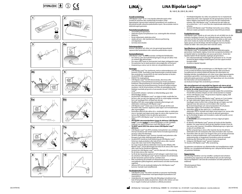















 $\mathbf{z}$ 







## **LiNA Bipolar Loop™**

BL-160-E, BL-200-E, BL-240-E

### **Avsedd användning:**

LiNA Bipolar LoopTM är en 5 mm bipolär elektrokirurgisk enhet avsedd att amputera den mobiliserade livmodern under laparaskopisk supracervikal (subtotal) hysterektomi och resektion av devaskulariserade subserösa pedunkulära myom. Ska användas med en elektrokirurgisk generator.

### **Potentiella komplikationer:**

- omvandling till laparotomi • elektrokirurgiska komplikationer (t.ex. isoleringsfel eller elchock)
- blödning
- fel på implantatets elektriska enhet • skador på tunn- eller tjocktarmen inklusive perforering
- urinvägsskada
- termiska brännskador.

#### **Patientpopulation:**

Kvinnor i alla åldrar och vikter som ska genomgå laparaskopisk supracervikal hysterektomi eller subserösa pedunkulära myom.

- **Kontraindikationer:**<br>LiNA Bipolar Loop™ får **INTE** användas vid följande förhållanden: • Om isthmus uteri (livmoderförträngningen) inte går att iaktta i hela sin omkrets före aktiveringen.
- Om uterus eller myom är sammanväxt med något närliggande organ.
- Om patienten har en tjock posterior uterusvägg eller cervixmyom.
- Amputering av uterus som är större än vid graviditetsvecka 20.

- **<u>Varningar:</u>**<br>• LiNA Bipolar Loop™ har steriliserats med en etylenoxidprocess och levereras STERIL. Kontrollera noga förpackningen avseende skador före användning. Använd INTE om den sterila barriären är bruten. Använd INTE efter utgångsdatum. • ENDAST för engångsbruk.
- LiNA Bipolar Loop<sup>TM</sup> får INTE återanvändas, återvinnas eller omsteriliseras. Eventuell återprocessering kan hindra produktens funktioner. Återanvändning av instrument för engångsbruk kan även öka risken för korskontaminering. Försök att rengöra enheten resulterar i risk för fel på enheten och/eller att patologiprover blir felaktigt insamlade på grund av kvarvarande vävnad i LiNA Bipolar Loop<sup>TN</sup>
- Använd INTE enheten i närheten av lättantändliga gaser eller lättantändliga vätskor.
- Använd INTE LiNA Bipolar LoopTM om öglan är böjd, snodd eller har fel form, eller om den inte öppnats helt till sin ursprungliga romboida form när handtaget förts så långt fram det går.
- Modifiera INTE den ursprungliga romboida utformningen och elektrodens isolering på LiNA Bipolar Loop™.
- LiNA Bipolar LoopTM måste vara så stort att det går att föra runt livmodern eller myomet. Applicera sedan öglan runt livmoderhalsen eller myomstjälken.
- Kontrollera alltid att den aktiva (d.v.s. oisolerade) delen av elektroden inte är i kontakt med något annat organ än uterus eller myomet (t.ex. tarmar eller blodkärl) innan du aktiverar generatorn. • Aktivera INTE LiNA Bipolar LoopTM om du inte kan se den skärande
- öglan. **• AVLÄGSNA uterusmanipulatorn innan du aktiverar LiNA Bipolar**
- **LoopTM.** Använd **endast** en uterusmanipulator av ICKE-LEDANDE material (t.ex. plast) tillsammans med LiNA Bipolar Loop™. **• TA BORT spiral (IUD) från uterus innan LiNA Bipolar LoopTM**
- **aktiveras.**  • LiNA Bipolar LoopTM ska INTE användas med patienter vars urinblåsa
- inte kan dissekeras helt vid det nedre främre livmodersegmentet på grund av risken för blåsskada.
- Låt INTE LiNA Bipolar LoopTM komma i kontakt med patientens eller kirurgens hud under elektrokirurgisk aktivering. • Använd INTE överdriven kraft/belastning på LiNA Bipolar LoopTM.
- Detta kan skada produkten eller leda till att uterus eller myomet stryps eller skärs med risk för riklig blödning.
- Var noga med att aktivera elektroden innan du drar tillbaka LiNA Bipolar LoopTM. Fel på aktiveringen kan leda till att uterus eller myom
- skärs med risk för överdriven blödning. Använd inte LiNA Bipolar LoopTM som ett alternativ till morcellering för att skära uterus eller myomet.
- Se till att den keramiska spetsen är helt indragen i axeln/röret innan du extraherar LiNA Bipolar Loop™ genom troakaren för att förhindra att den keramiska spetsen fastnar i ventilens lock.
- Efter användning ska produkt och förpackning kasseras i enlighet med gällande sjukhusregelverk, administrativa och/eller kommunala regelverk.
- Aktivera INTE om de oisolerade kablarna för LiNA Bipolar Loop<sup>TM</sup> kommer i kontakt med metallföremål.

#### **Försiktighetsåtgärder:**

- LiNA Bipolar Loop™ får endast användas av personer med lämplig utbildning och erfarenheter med laparoskopisk hysterektomi och myomektomi.
- Underlåtenhet att noggrant följa alla tillämpliga instruktioner kan leda till betydande skador på patienten, läkaren eller skötare och kan ha en negativ inverkan på resultatet av utförda procedurer.
- Försiktighetsåtgärder ska vidtas när patienten har en implanterad elektronisk enhet. Före ingreppet ska det perioperativa teamet vid behov rådgöra med teamet som ansvarar för den implanterade enheten. När LiNA Bipolar Loop™ är aktiverad ska den hållas på ett avstånd över 1 cm (½ tum) från den implanterade elektroniska enheten.
- Använd LiNA Bipolar LoopTM försiktigt med andra vassa verktyg eftersom skador på kabelns isolering kan leda till fel på enheten.

**sv**

<mark>Produktbeskrivning:</mark><br>LiNA Bipolar Loop™ består av ett svart yttre rör och ett blått inre rör där enhetens handtag är fastsatt. Den romboida loopen sitter fast på det inre röret och förs fram genom att hålla i den övre delen av det svarta yttre röret medan du trycker det blå handtaget framåt. Dra tillbaka öglan genom att dra försiktigt i det blå handtaget med ena handen medan du håller i det svarta yttre röret med den andra.

### **Specifikationer och inställningar för generatorn:**

LiNA Bipolar Loop™ är kompatibel med de flesta elektrokirurgiska generatorer med bipolär utgång. Anslut den europeiska kontakten till en bipolär kabel av standardtyp som passar generatorn. Anslut den bipolära kabeln till den bipolära utgången på generatorn.

- Den rekommenderade inställningen för generatorn är 55–70 watt. Använd de lägsta möjliga inställningarna som kan uppnå önskad kirurgisk effekt.
- Använd en bipolär fotpedal.

#### **Bruksanvisning:**

Denna information gäller användningen av LiNA Bipolar Loop™. Den<br>är inte avsedd att förklara laparoskopiska tekniker eller procedurer. Se publicerad och erkänd medicinsk litteratur för information om lämpliga tekniker, komplikationer och risker innan några laparoskopiska procedurer genomförs. Läs bruksanvisningen från tillverkaren av den elektrokirurgiska generatorn och/eller det laparoskop som ska användas för information om kontraindikationer. Läs bruksanvisningen före användning av enheten!

## **När uterusligament och uteruskärl har ligerats och uterus på ett säkert sätt kan amputeras från livmoderhalsen eller myomstjälken fortsätter du enligt nedanstående instruktioner:**

- 1. Kontrollera noga förpackningen avseende skador före användning. Försök INTE använda enheten om den sterila barriären är skadad. 2. Anslut LiNA Bipolar LoopTM till generatorns bipolära utgång. Ställ
- generatorn på 55–70 watt.<br>3. Introducera försiktigt LiNA Bipolar Loop™ genom en 5 mm troakar.
- 4. **a.** Frigör elektroden (öglan) genom att föra handtaget framåt. Handtaget måste ha förts fram så långt det går och öglan vara helt öppnad innan den placeras runt livmodern eller myomet. **b.** Använd tång/tänger och uterusmanipulatorn för att placera
- elektroden (öglan) runt livmodern eller myomet. 5. Kontrollera alltid att den aktiva (d.v.s. oisolerade) delen av elektroden inte är i kontakt med något annat organ (t.ex. tarmar eller blodkärl) än uterus eller myom innan du aktiverar generatorn.
- 6. **a.** Dra försiktigt åt öglan runt livmoderns nedre del (ovanför cervix) eller myomstjälken.

**b. AVLÄGSNA** uterusmanipulatorn och lossa något på öglans spänning.

7. **a.** Aktivera LiNA Bipolar LoopTM genom att trycka på den bipolära pedalen. Var noga med att vänta på den bipolära energin innan du skär uterus eller myomet. Omedelbar tillbakadragning av öglan kan orsaka ett oavsiktligt snitt.

**b.** Efter amputering av uterus eller myomet ska du inte aktivera elektroderna för att manipulera eller skära livmodern eller myomet.

- 8. Kontrollera efter att uterus har lösgjorts från cervix att den proximala delen av endocervikalkanalen, som eventuellt kan innehålla endometrieceller, är koagulerad. Kontrollera också att eventuell blödning eller flytning från cervixstumpen är koagulerad.
- 9. Avlägsna LiNA Bipolar Loop™ genom troakaren. 10. Kassera LiNA Bipolar Loop™ efter användning.

Ge patienten instruktioner om efterkontroller om komplikationer skulle tillstöta, t.ex. intraabdominell blödning som i sällsynta fall kan leda till att patienten förblöder.

#### **Rapportering:**

Alla allvarliga händelser som har inträffat i samband med enhetens användning ska rapporteras till LiNA Medical ApS och den behöriga tillsynsmyndigheten i det land där användaren och/eller patienten är etablerad.

Tillverkningsland: Polen. CE-märkning 2012.

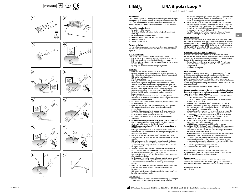









 $\%$ 











## **LiNA Bipolar Loop™**

BL-160-E, BL-200-E, BL-240-E

#### **Tiltenkt bruk:**

LiNA Bipolar LoopTM er en 5 mm bipolar elektrokirurgisk enhet beregnet på amputering av mobilisert livmor under laparoskopisk supracervikal (subtotal) hysterektomi og reseksjon av devaskulariserte subserøse, stilkede myomer. Brukes sammen med en elektrokirurgisk generator.

## **Potensielle komplikasjoner:**

- konvertering til laparotom • elektrokirurgiske komplikasjoner (f.eks. isolasjonsfeil, strømstøt)
- blødning
- feil på implanterbar elektrisk enhet
- skade på tynntarm eller tykktarm inkludert perforering
- skade på urinveiene
- $\cdot$  termiske forbrenninger

#### **Pasientpopulasjon:**

Kvinner i alle aldre og vektgrupper som skal gjennomgå laparoskopisk supracervikal hysterektomi eller myomektomi av subserøse, stilkede myomer.

### **Kontraindikasjoner:**

LiNA Bipolar LoopTM skal **IKKE** brukes i følgende situasjoner: • Hvis omfanget til isthmus uteri ikke kan visualiseres før aktivering.

- Hvis livmoren eller myomer sitter fast i tilstøtende organer. • Hvis pasienten har et stort posteriort myom i livmoren eller myon
- i livmorhalsveggen.
- Fjerning av livmor som er større enn i gestasjonsuke 20.

#### **Advarsler:**

- LiNA Bipolar LoopTM blir levert STERIL, etter bruk av en etylenoksidprosess. Undersøk emballasjen nøye for skade før bruk. Skal IKKE brukes hvis den sterile barrieren er skadet. Apparatet skal IKKE brukes etter utløpsdatoen. • KUN til engangsbruk.
- LiNA Bipolar LoopTM må IKKE gjenbrukes, reprosesseres eller resteriliseres. Reprosessering kan hindre funksjonene til denne enheten. Hvis du bruker enheten for engangsbruk om igjen, kan det også øke risikoen for krysskontaminering. Forsøk på å rengjøre enheten medfører risiko for funksjonssvikt og/eller feilaktig patologisk prøvetaking på grunn av rest-vev i LiNA Bipolar Loop™
- Enheten skal IKKE brukes i nærvær av brennbare gasser eller brennbare væsker. • LiNA Bipolar LoopTM skal IKKE brukes hvis den er bøyd, vridd,
- misformet eller ikke brettes helt ut til den opprinnelige rombeformet eller ikke brettes helt ut til den opprinnelige rombefo når håndtaket er helt fremført.
- IKKE endre den opprinnelige rombeformen og elektrodeisolasjonen på LiNA Bipolar Loop™.
- LiNA Bipolar LoopTM må være stor nok til å passere rundt livmoren eller myomet. Legg deretter løkken rundt livmorhalsen eller myomstilken.
- Kontroller alltid at den aktive (dvs. uisolerte) delen av elektroden ikke er i kontakt med andre organer enn livmoren eller myomet (f.eks. tarm eller kar) før generatoren aktiveres.
- IKKE aktiver LiNA Bipolar LoopTM hvis skjæreløkken ikke kan visualiseres.
- **• FJERN livmormanipulatoren før du aktiverer LiNA Bipolar LoopTM. Kun** en livmormanipulator tilvirket av IKKE-LEDENDE materiale (f.eks. plast) må brukes med LiNA Bipolar LoopTM.
- **• FJERN intrauterine enheter (IUD) fra livmoren før du aktiverer LiNA Bipolar LoopTM.**  • LiNA Bipolar LoopTM skal IKKE brukes til pasienter der blæren ikke
- kan dissekeres helt i det nedre fremre livmorsegmentet på grunn av risikoen for blæreskade. • Pass på at kabelen til LiNA Bipolar Loop™ IKKE kommer i kontakt
- med pasientens eller kirurgens hud mens elektrokirurgisk aktivering foregår.
- IKKE bruk overdreven kraft/belastning når du bruker LiNA Bipolar LoopTM. Dette kan skade produktet eller føre til sammenklemming og mekanisk seksjonering av livmoren eller myomet med fare for kraftig blødning.
- Sørg for å aktivere elektroden før du trekker tilbake LiNA Bipolar LoopTM. Manglende aktivering kan føre til mekanisk seksjonering av livmoren eller myomet med fare for kraftig blødning.
- Ikke bruk LiNA Bipolar LoopTM til å skjære i livmor eller myom som et alternativ til morcellering. • Forsikre deg om at den keramiske spissen er trukket helt inn i skaftet/
- røret før du trekker ut LiNA Bipolar Loop™ gjennom trokaren, for å forhindre at den keramiske spissen setter seg fast i klaffen på ventilen.
- Etter bruk må produktet og emballasjen kastes i overensstemmelse med sykehusets praksis, administrativ praksis og/eller lokale bestemmelser.
- IKKE aktiver hvis de uisolerte ledningene til LiNA Bipolar Loop™ er i kontakt med metallgjenstander.

#### **Forholdsregler:**

• Bruk av LiNA Bipolar LoopTM krever adekvat opplæring og erfaring for å kunne utføre laparoskopisk hysterektomi og myomektomi.

#### • Unnlatelse av å følge alle gjeldende instruksjonene nøye kan føre til betydelig skade på pasienten, legen eller personalet og kan ha en negativ innvirkning på resultatet av utførte prosedyrer.

- Forholdsregler må tas når pasienten har elektroniske implantater. Det perioperative teamet bør rådføre seg med teamet ansvarlig for implantatet før kirurgi og ved behov. Når LiNA Bipolar Loop™ har blitt aktivert, bør den holdes unna det elektroniske implantatet med en avstand på mer enn 1 cm (½ tomme).
- Bruk LiNA Bipolar LoopTM forsiktig med andre skarpe verktøy, da skader på ledningens isolasjon kan føre til funksjonssvikt.

**no**

#### **Produktbeskrivelse:**

LiNA Bipolar Loop<sup>TM</sup> består av et svart ytre rør og et blått indre rør der håndtaket på enheten er festet. Den rombeformede løkken er festet til det indre røret og føres frem ved å holde den øvre delen av det svarte ytre røret mens du skyver det blå håndtaket fremover. Løkken trekkes tilbake ved å trekke forsiktig i det blå håndtaket med den ene hånden mens du holder det svarte ytre røret med den andre.

**<u>Generatorspesifikasjoner og -innstillinger:</u><br>LiNA Bipolar Loop™ er kompatibel med de fleste elektrokirurgiske** generatorer med bipolar kontakt. Koble den europeiske koblingen til en standard bipolar kabel som passer til generatoren. Koble den bipolare kabelen til den bipolare kontakten på generatoren.

- Den anbefalte innstillingen for generatoren er 55–70 watt. Bruk de lavest mulige innstillingene som er i stand til å oppnå ønsket kirurgisk effekt.
- Bruk en bipolar fotpedal.

#### **Bruksanvisning:**

Denne informasjonen gjelder for bruk av LiNA Bipolar Loop™. Den er ikke beregnet på å demonstrere laparoskopiske teknikker eller inngrep. Egnede teknikker, komplikasjoner og farer er beskrevet i publisert og anerkjent medisinsk litteratur og bør gjennomgås før laparoskopi gjennomføres. Se bruksanvisningen fra produsenten av den elektrokirurgiske generatoren og/eller laparoskopet som skal brukes, for kontraindikasjoner.

Les bruksanvisningen nøye før du bruker enheten!

#### **Etter at livmorligamentene og -karene er ligert på riktig måte, kan livmoren trygt amputeres fra livmorhalsen eller myomet fra stilken ved å følge anvisningene nedenfor:**

- 1. Undersøk emballasjen nøye for skade før bruk. Forsøk IKKE å bruke enheten hvis den sterile barrieren er brutt. 2. Koble LiNA Bipolar Loop™ til generatorens bipolare kontakt. Sett
- generatoren på 55–70 watt.
- 3. Før forsiktig inn LiNA Bipolar Loop™ gjennom en 5 mm trokar. 4. **a.** Brett ut elektroden (løkken) ved å skyve håndtaket fremover. Håndtaket må føres helt frem og løkken brettes ut 100 % før løkken plasseres rundt livmorkroppen eller myomet.
- **b.** Bruk griperen (griperne) og livmormanipulatoren som hjelp til å plassere elektroden (løkken) rundt livmorkroppen eller myomet. 5. Kontroller alltid at den aktive (dvs. uisolerte) delen av elektroden
- ikke er i kontakt med andre organer (f.eks. tarm eller kar) enn livmoren eller myomet, før generatoren aktiveres. 6. **a.** Stram løkken forsiktig rundt den nedre delen av livmorkroppen
- (over livmorhalsen) eller myomstilken. **b. FJERN** livmormanipulatoren ved å løsne litt på løkken.
- 7. **a.** Aktiver LiNA Bipolar Loop™ ved å trykke på den bipolare pedalen. Sørg for å vente på den bipolare energien før du seksjonerer livmoren eller myomet. Umiddelbar tilbaketrekking av løkken kan forårsake et utilsiktet mekanisk kutt.
- **b.** Etter amputasjon av livmoren eller myomet skal elektrodene ikke aktiveres for å manipulere eller dele livmoren eller myomet. 8. Etter at livmoren er amputert fra livmorhalsen, må du kontrollere
- at den proksimale delen av den endocervikale kanalen som kan inneholde endometrieceller, er koagulert, og at eventuell blødning eller utflod fra den cervikale stumpen er koagulert.
- 9. Ta ut LiNA Bipolar Loop™ gjennom trokaren.<br>10. Kast den brukte LiNA Bipolar Loop™ etter bruk.

Gi instruksjoner for oppfølging til pasienter i tilfelle det oppstår komplikasjoner, medregnet intraabdominal blødning, som i sjeldne tilfeller kan føre til blødning med dødelig utfall.

### **Rapportering:**

Alle alvorlige hendelser som har oppstått i forbindelse med enheten, skal rapporteres til LiNA Medical ApS og den kompetente reguleringsmyndigheten i landet der brukeren og/eller pasienten bor.

Opprinnelsesland: Polen. CE-merke 2012.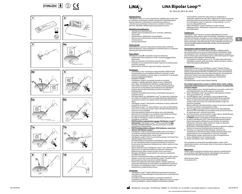









 $\%$ 











## **LiNA Bipolar Loop™**

BL-160-E, BL-200-E, BL-240-E

#### **Käyttötarkoitus:**

LiNA Bipolar Loop™ on 5 mm:n bipolaarinen sähkökirurginen laite, joka on tarkoitettu mobilisoidun kohdun amputointiin laparoskooppisen supraservikaalisen (subtotaalisen) hysterektomian aikana ja verenkierrosta poistettujen subseroosien varrellisten myoomien poistoon. Käytetään sähkökirurgisen generaattorin kanssa.

#### **Mahdolliset komplikaatiot:** • muuntaminen laparotomiaan;

- sähkökirurgiset komplikaatiot (esim. eristevika, sähköisku);
- verenvuoto;
- implantoitavan sähkölaitteen toimintahäiriö; • pieni tai suuri suolistovamma mukaan lukien perforaatio;
- virtsatievamma; • virtsatte varinna,<br>• termiset palovammat.

**Potilasryhmät:** Kaikenikäiset ja -painoiset naispuoliset henkilöt, jotka soveltuvat laparoskooppiseen supraservikaaliseen hysterektomiaan tai varrellisten subseroosien myoomien poistoon.

#### **Vasta-aiheet:**

- LiNA Bipolar Loopia **EI** saa käyttää seuraavissa tilanteissa: • Kohdunsolan koko ympärystä ei voida visualisoida ennen laitteen aktivoimista.
- Kohtu tai myooma on kiinnittynyt viereisiin elimiin. Potilaalla on suuri posteriorinen kohdun myooma tai kohdunkaulan seinämän myoomia.
- Raskausviikon 20 kohtua laajemman kohdun amputointi.

#### **Varoitukset:**

- LiNA Bipolar LoopTM toimitetaan etyleenioksidilla STERILOITUNA. Tarkista pakkaus ennen käyttöä huolellisesti vaurioiden varalta. Laitetta EI saa käyttää, jos steriili suoja on vaurioitunut. EI saa käyttää viimeisen käyttöpäivän jälkeen. **· KERTAKÄYTTÖINEN**
- LiNA Bipolar Loopia EI saa käyttää, käsitellä tai steriloida uudelleen. Uudelleenkäsittelyn jälkeen tuote ei välttämättä toimi oikein. Kertakäyttöisten laitteiden uudelleenkäyttö voi lisätä ristikontaminaation riskiä. Jos laitetta yritetään puhdistaa, seurauksena voi olla laitteen toimintahäiriö ja/tai LiNA Bipolar Loopissa olevasta jäännöskudoksesta johtuva virheellinen patologianäyte.
- Laitetta EI saa käyttää samassa tilassa tulenarkojen kaasujen tai nesteiden kanssa.
- ÄLÄ käytä laitetta, jos LiNA Bipolar LoopTM on taipunut tai vääntynyt, sen muoto on muuttunut tai se ei avaudu kokonaan alkuperäiseen vinokaiteen muotoon, kun laitteen kahva työnnetään ääriasentoon eteen.
- LiNA Bipolar LoopinTM alkuperäistä vinokaiteen muotoa ja elektrodin eristystä EI saa muuttaa.
- LiNA Bipolar LoopinTM on oltava riittävän suuri, jotta se yltää kohdun runko-osan tai myooman ympäri. Pujota silmukka kohdunkaulan tai myooman varren ympärille.
- Ennen generaattorin aktivoimista tarkista aina, että elektrodin aktiivinen (eli eristämätön) osa ei kosketa muita elimiä kuin kohtua tai myoomaa (esimerkiksi suolta tai verisuonta). • ÄLÄ aktivoi LiNA Bipolar Loopia, jos leikkaavaa silmukkaa ei ole
- mahdollista visualisoida.
- **• POISTA kohdun manipulaattori ennen LiNA Bipolar LoopinTM aktivoimista.** LiNA Bipolar LoopinTM kanssa tulee käyttää **vain** SÄHKÖÄ JOHTAMATTOMASTA aineesta (esimerkiksi muovi valmistettua manipulaattoria.
- **• POISTA kohdunsisäinen ehkäisin (IUD) kohdusta, ennen kuin aktivoit LiNA Bipolar LoopinTM.**
- LiNA Bipolar Loopia EI tule käyttää potilailla, joilla virtsarakkoa ei voi kokonaan irrottaa kohdun alemmasta anteriorisesta osasta virtsarakon vahingoittumisen vaaran vuoksi.
- LiNA Bipolar LoopinTM johto EI saa koskettaa potilaan tai kirurgin ihoa sähkökirurgisen käytön aikana.
- ÄLÄ käytä liiallista voimaa/painoa LiNA Bipolar Loopia käyttäessä. Se voisi vahingoittaa laitetta tai aiheuttaa kohdun tai myooman kuroutumisen ja mekaanisen leikkautumisen, jolloin vaarana on liian runsas verenvuoto.
- Aktivoi elektrodi ennen LiNA Bipolar Loopin™ pois vetämistä. Virhe aktivoinnissa voi aiheuttaa kohdun tai myooman mekaanisen leikkautumisen, jolloin vaarana on liian runsas verenvuoto.
- Älä käytä LiNA Bipolar Loopia kohdun tai myooman viipalointiin morselloinnin sijasta. • Varmista, että keraaminen kärki on vedetty kokonaan sisään varteen/
- putkeen, ennen kuin irrotat LiNA Bipolar Loopin<sup>TM</sup> troakaarin läpi, jotta keraaminen kärki ei jää kiinni venttiilin läppään. • Hävitä tuote pakkauksineen käytön jälkeen sairaalan käytännön,
- viranomaisvaatimusten ja/tai kansallisen lainsäädännön mukaisesti. • ÄLÄ aktivoi, jos LiNA Bipolar LoopinTM eristämättömät johdot ovat kosketuksissa metalliesineiden kanssa.

#### **Varotoimet:**

- LiNA Bipolar LoopinTM käyttö edellyttää asianmukaista koulutusta sekä kokemusta laparoskooppisen hysterektomian ja myomektomian suorittamisesta.
- Jos kaikkia asiaankuuluvia ohjeita ei noudateta huolellisesti, seurauksena voi olla merkittävä potilaan, lääkärin tai muun avustajan vamma ja haitallinen vaikutus tehtävän toimenpiteen tuloksiin.
- Asianmukaisiin varotoimiin tulee ryhtyä, jos asiakkaalla on implantoitu elektroninen laite (IED). Leikkaustiimin tulee konsultoida implanttia hallinnoivaa tiimiä ennen leikkausta ja tarpeen mukaan. mipiantua nailimioivaa tiimia emien leikkaasta ja tai peen makaa.<br>Kun LiNA Bipolar Loop™ on aktivoitu, se tulee pitää yli 1 cm:n (½ tuuman) etäisyydellä IED:stä.
- Käytä LiNA Bipolar Loopia huolellisesti muiden terävien työkalujen kanssa, sillä johtimen eristysvaurio voi johtaa laitteen toimintahäiriöön.

#### **Tuotekuvaus:**

<u>Tuotekuvuus.</u><br>LiNA Bipolar Loop™ koostuu mustasta ulkoputkesta ja sinisestä sisäputkesta, johon laitteen kahva kiinnitetään. Vinokaiteen muotoinen silmukka kiinnitetään sisäputkeen, ja sitä viedään eteenpäin pitämällä kiinni mustan ulomman putken yläosasta ja työntämällä samalla sinistä kahvaa eteenpäin. Voit vetää silmukan sisään vetämällä sinistä kahvaa varovasti toisella kädellä ja pitelemällä samalla mustaa ulkoputkea toisella kädellä.

**Generaattorin tekniset tiedot & asetukset:**<br>LiNA Bipolar Loop™ on yhteensopiva useimpien sähkökirurgisten generaattoreiden kanssa, joissa on kaksinapainen lähtöliitäntä. Kytke eurooppalainen liitin standardinmukaiseen kaksinapaiseen kaapeliin, joka on yhteensopiva generaattorin kanssa. Kytke kaksinapainen kaapeli generaattorin kaksinapaiseen lähtöliitäntään.

• Generaattorin suositeltu asetus on 55–70 wattia. Käytä pienimpiä mahdollisia asetuksia, joilla saavutetaan haluttu kirurginen vaikutus. • Käytä kaksinapaista jalkapoljinta.

#### **Käyttöohjeet:**

Nämä tiedot koskevat vain LiNA Bipolar Loopin™ käyttöä. Tietojen tarkoituksena ei ole esitellä laparoskopiatekniikoita tai -toimenpiteitä. Tarkista asianmukaiset tekniikat, komplikaatiot ja riskit tunnustetuista lääketieteellisistä julkaisuista ennen laparoskooppisiin toimenpiteisiin ryhtymistä. Tarkista vasta-aiheet käytettävän sähkökirurgisen generaattorin ja/tai laparoskoopin valmistajan toimittamista käyttöohjeista.

Lue käyttöohjeet ennen tämän laitteen käyttöä!

#### **Kun kohdun ligamentit ja suonet on sidottu oikein, kohtu voidaan amputoida kohdunkaulasta tai myooma varrestaan noudattamalla seuraavia ohjeita:**

- 1. Tarkista pakkaus ennen käyttöä huolellisesti vaurioiden varalta. ÄLÄ yritä käyttää laitetta, jos steriili suojus on vaurioitunut. 2. Kytke LiNA Bipolar Loop™ generaattorin kaksinapaiseen lähtöön.
- Aseta generaattoriin 55–70 wattia. 3. Vie LiNA Bipolar LoopTM varovaisesti 5 mm:n troakaarin läpi.
- 4. **a.** Taita elektrodi (silmukka) auki työntämällä kahvaa eteenpäin. Kahva on työnnettävä eteenpäin ääriasentoon ja silmukka on avattava kokonaan ennen sen asettamista kohdun rungon tai myooman ympärille.
- **b.**Aseta elektrodi (silmukka) kohdun rungon tai myooman ympärille tarraimien ja kohdun manipulaattorin avulla.
- 5. Varmista aina ennen generaattorin aktivoimista, että elektrodin aktiivinen (eli eristämätön) osa ei kosketa muita elimiä kuin kohtua tai myoomaa (esim. suolta tai verisuonta).
- 6. **a.** Kiristä silmukka varovasti kohdun rungon alaosan (kohdunkaulan yläpuolelle) tai myooman varren ympärille. **b. POISTA** kohdun manipulaattori löysäämällä silmukkaa hieman.
- 7. **a.** Aktivoi LiNA Bipolar Loop™ painamalla kaksinapaista poljinta. Odota kaksinapaista sähkövirtaa ennen kohdun tai myooman leikkaamista. Silmukan välitön vetäminen sisään voi aiheuttaa tahattoman mekaanisen leikkauksen.
- **b.** Älä aktivoi elektrodeja kohdun tai myooman amputoinnin jälkeen kohdun tai myooman käsittelemiseksi tai jakamiseksi. 8. Kun kohtu on amputoitu kohdunkaulasta, varmista, että
- mahdollisesti endometriumsoluja sisältävä kohdunkaulakanavan proksimaalinen osa on koaguloitunut. Varmista, että kaikki kohdunkaulan tyngän verenvuoto tai eritys on koaguloitunut. 9. Poista LiNA Bipolar Loop™ troakaarin läpi
- 10. Hävitä LiNA Bipolar LoopTM käytön jälkeen.

Anna potilaalle seurantaohjeet komplikaatioiden varalta, kuten vatsaontelon sisäisen verenvuodon, joka voi harvinaisissa tapauksissa olla voimakasta.

#### **Raportointi:**

Laitteen käytön yhteydessä tapahtuneista vakavista vaaratilanteista on ilmoitettava LiNA Medical ApS:lle sekä käyttäjän ja/tai potilaan kotimaan toimivaltaiselle sääntelyviranomaiselle.

Valmistusmaa: Puola. CE-merkintä 2012.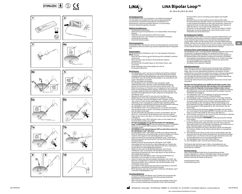





















mit einem elektrochirurgischen Generator. **Mögliche Komplikationen:** • umstellung auf Laparotomie;

• verletzung der Harnwege; • thermische Verbrennungen. **Patientenpopulation:**

sind. **Gegenanzeigen:**

**NICHT** zulässig:

werden kann.

verwachsen ist.

Schwangerschaftswoche.

• NUR zur einmaligen Verwendung.

Cervixwand

**Warnhinweise:**

• blutung;<br>• fehlfunktion des implantierbaren elektrischen Geräts; • verletzung des Dünn- oder Dickdarms einschließlich Perforation;

**<u>Verwendungszweck:</u>**<br>Die LiNA Bipolar Loop™ ist ein bipolares 5-mm-Elektrochirurgiegerät zur Amputation des mobilisierten Uterus bei der laparoskopischen suprazervikalen (subtotalen) Hysterektomie und Resektion von devaskulierten subserösen gestielten Myomen. Zur Verwendung

• elektrochirurgische Komplikationen (z. B. Isolationsfehler, Stromschlag);

Frauen jeden Alters und Gewichts, die für eine laparoskopische suprazervikale Hysterektomie oder eine Entfernung subseröser gestielter Myome vorgesehen

Die Verwendung der LiNA Bipolar Loop™ ist in den folgenden Situationen

• Wenn der Uterus oder das Myom mit benachbarten Organen

• Bei der Amputation eines Uterus größer als in der 20.

• Bei Patientinnen mit großem Myom an der hinteren Uterus- oder

Die LiNA Bipolar LoopTM darf NICHT erneut verwendet, wieder aufbereitet oder erneut sterilisiert werden. Bei Wiederaufbereitung könnten die Funktionen des Instruments beeinträchtigt werden. Die Wiederverwendung von Produkten zum Einmalgebrauch kann zudem das Risiko von Kreuzkontaminationen erhöhen. Jeder Versuch, das Instrument

• Wenn der Uterus Isthmus vor der Aktivierung nicht umfänglich visualisiert

• Die LiNA Bipolar LoopTM wird durch ein Ethylenoxid-Verfahren sterilisiert und STERIL geliefert. Die Verpackung vor der Verwendung des Produkts sorgfältig auf jedwede Beschädigungen untersuchen. Verwenden Sie das Gerät NICHT, wenn die Sterilbarriere beschädigt ist. Das Gerät NICHT nach seinem Ablaufdatum verwenden.

## **LiNA Bipolar Loop™**

BL-160-E, BL-200-E, BL-240-E

#### Personen führen und sich nachteilig auf das Ergebnis des Eingriffs auswirken.

- Bei Patientinnen mit einem elektronischen Implantat (IED) sollten Vorsichtsmaßnahmen getroffen werden. Das perioperative Team sollte sich vor dem Eingriff und bei Bedarf mit dem Team absprechen, welches das implantierte Gerät verwaltet. Wenn die LiNA Bipolar LoopTM aktiviert ist, sollte sie mehr als 1 cm (½ Zoll) vom IED entfernt sein.
- Verwenden Sie die LiNA Bipolar LoopTM vorsichtig mit anderen scharfen Werkzeugen, da die Beschädigung der Isolierung des Drahtes zu einer Fehlfunktion des Geräts führen kann.

### **Beschreibung des Produkts:**

Die LiNA Bipolar Loop™ besteht aus einem schwarzen Außenröhrchen und einem blauen Innenröhrchen, an dem der Griff der Vorrichtung befestigt ist. Die rautenförmige Schlaufe ist am Innenröhrchen befestigt und wird vorgeschoben, indem man den oberen Teil des schwarzen Außenröhrchens festhält, während man den blauen Griff nach vorne schiebt. Um die Schlaufe einzuziehen, ziehen Sie vorsichtig mit einer Hand am blauen Griff, während Sie mit der anderen Hand das schwarze Außenröhrchen festhalten.

#### **Technische Daten und Einstellungen des Generators:**

Die LiNA Bipolar Loop™ ist mit den meisten elektrochirurgischen Generatoren<br>mit bipolarem Ausgang kompatibel. Den europäischen Stecker an ein bipolares Standard-Kabel anschließen, das für Ihren Generator geeignet ist. Das bipolare Kabel an den bipolaren Ausgang des Generators anschließen.

- Die empfohlene Einstellung für den Generator ist 55–70 Watt. Verwenden Sie die kleinstmöglichen Einstellungen, mit denen der gewünschte zie die inematingmenen Ematemangen, • Verwenden Sie ein bipolares Fußpedal.
- **Gebrauchsanweisung:**

**Diese Information dient zur Erläuterung der Verwendung der LiNA Bipolar** LoopTM. Sie dient nicht dazu, laparoskopische Techniken oder Verfahren zu zeigen. Bevor Sie eine Laparoskopie durchführen, konsultieren Sie bitte veröffentlichte und anerkannte medizinische Literatur in Bezug auf geeignete Techniken, Komplikationen und Risiken. Kontraindikationen sind in der vom Hersteller des elektrochirurgischen Generators und/oder Laparoskops bereitgestellten Gebrauchsanweisung aufgeführt. Lesen Sie die Gebrauchsanweisung aufmerksam durch, bevor Sie das Gerät verwenden!

## **Nachdem die Uterusbänder und -gefäße korrekt ligiert wurden, kann der Uterus vom Gebärmutterhals oder das Myom vom Stiel amputiert werden, wobei die folgenden Anweisungen befolgt werden müssen:**

- 1. Die Verpackung vor der Verwendung des Produkts sorgfältig auf jedwede Beschädigungen untersuchen. Das Gerät NICHT verwenden, wenn die Sterilbarriere beschädigt ist.
- 2. Die LiNA Bipolar LoopTM an den bipolaren Ausgang des Generators
- anschließen. Den Generator auf 55–70 Watt einstellen. 3. Die LiNA Bipolar LoopTM vorsichtig durch einen 5-mm-Trokar einführen.
- 4. **a.** Die Elektrode (Schlinge) durch Vorschieben des Griffs öffnen. Der Griff muss ganz vorgeschoben und die Schlinge vollständig geöffnet sein, ehe die Schlinge um den Uteruskörper oder das Myom gelegt wird. **b.** Die Elektrode (Schlinge) mithilfe eines oder mehrerer Greifer und des Uterusmanipulators ordnungsgemäß um den Uteruskörper oder das
- 5. Vor dem Aktivieren des Generators immer sicherstellen, dass der aktive (d. h. nicht isolierte) Teil der Elektrode nicht in Kontakt mit einem anderen Organ (z. B. Darm oder Gefäß) als dem Uterus oder Myom ist.
- 6. **a.** Die Schlinge vorsichtig um den unteren Teil des Uteruskörpers (oberhalb der Cervix) oder den Myomstamm anziehen. **b.** Den Uterusmanipulator **ENTFERNEN** und die Spannung der Schlinge
- 7. **a.** Die LiNA Bipolar LoopTM durch Betätigen des bipolaren Pedals aktivieren. Unbedingt die bipolare Energie abwarten, bevor der Uterus oder das Myom geschnitten wird. Ein sofortiges Zurückziehen der Schlaufe kann zu einem unbeabsichtigten mechanischen Schnitt führen. **b.** Nach der Amputation des Uterus oder Myoms dürfen die Elektroden nicht aktiviert werden, um den Uterus oder das Myom zu manipulieren
- 8. Nach Abtrennen des Uterus von der Cervix ist sicherzustellen, dass der proximale Abschnitt des Gebärmutterhalskanals, der Endometriumzellen enthalten kann, verschlossen wird und dass ggf. auftretende starke oder
- 9. Die LiNA Bipolar Loop™ durch den Trokar entfernen.

Die Patientin über die Nachsorge im Falle von Komplikationen wie intraabdominalen Blutungen, die in seltenen Fällen zu Exsanguination führen können, aufklären.

**Berichterstattung:**<br>Jeder schwerwiegende Vorfall, der im Zusammenhang mit dem<br>Produkt aufgetreten ist, sollte an LiNA Medical ApS und die zuständige Regulierungsbehörde des Landes gemeldet werden, in welchem der Benutzer und/oder der Patient ansässig sind.

Herstellungsland: Polen. CE-Kennzeichnung 2012.

 $\mathbb{S}$ 

- zu reinigen, birgt das Risiko einer Fehlfunktion des Geräts und/oder der Entnahme falsch pathologischer Proben aufgrund von Restgewebe in der LiNA Bipolar LoopTM. • Benutzen Sie das Gerät NICHT, wenn Sie sich in der Nähe von entflammbaren Gasen oder entzündlichen Flüssigkeiten aufhalten. • NICHT verwenden, wenn die LiNA Bipolar Loop™ verbogen, verdreht
	- vollständig in ihrer ursprünglichen rautenförmigen Gestaltung öffnet. Die ursprüngliche rautenförmige Gestaltung und die Elektroden-Isolierung Die ursprüngliche nautenformige Gestaltung und die Elektrische der LiNA Bipolar Loop™ dürfen NICHT verändert werden.
	- Die LiNA Bipolar Loop™ muss groß genug sein, um um den Uteruskörper<br>oder das Myom herum zu passen. Die Schlinge anschließend um die Cervix oder den Myomschaft legen. • Vor dem Einschalten des Generators ist immer zu kontrollieren, dass der
	- aktive (d. h. nicht isolierte) Teil der Elektrode nicht mit einem anderen Organ als dem Uterus oder Myom (z. B. dem Darm oder einem Blutgefäß) in Kontakt ist.
	- Die LiNA Bipolar LoopTM NICHT aktivieren, wenn es nicht möglich ist, die Schneidschlinge sichtbar darzustellen.
	- **• Der Uterusmanipulator ist vor dem Einschalten der LiNA Bipolar LoopTM zu ENTFERNEN. Nur** ein Uterusmanipulator aus NICHT LEITENDEM <u>Material (z. B. Kunststoff) darf zusammen mit der LiNA Bipolar Loop™</u> verwendet werden.
	- **• ENTFERNEN Sie das Intrauterinpessar (IUP) aus dem Uterus, bevor Sie**
	- **die LiNA Bipolar Loop™ aktivieren.**<br>• Die LiNA Bipolar Loop™ sollte wegen des Risikos einer Blasenverletzung NICHT bei Patientinnen verwendet werden, bei denen die Blase am unteren vorderen Uterinsegment nicht vollständig disseziert werden kann. • Achten Sie darauf, dass das Kabel der LiNA Bipolar LoopTM während der
	- elektrochirurgischen Verwendung NICHT die Haut des Patienten oder des Chirurgen berührt.
	- Wenden Sie bei der Verwendung der LiNA Bipolar LoopTM KEINE übermäßige Kraft auf. Dies könnte zu Beschädigungen am Produkt oder zum Einklemmen und mechanischen Abtrennen des Uterus oder Myoms mit dem Risiko von übermäßiger Blutung führen. • Stellen Sie sicher, dass Sie die Elektrode aktivieren, bevor Sie die
	- LiNA Bipolar LoopTM zurückziehen. Die Nichtaktivierung könnte zu mechanischem Abtrennen des Uterus oder Myoms mit dem Risiko von übermäßiger Blutung führen.
	- Verwenden Sie die LiNA Bipolar Loop™ nicht als eine Alternative zur<br>Morcellation zum Schneiden von Uterus oder Myomen. • Achten Sie darauf, dass die Keramikspitze vollständig in den Schaft / das
	- Röhrchen zurückgezogen ist, bevor Sie die LiNA Bipolar Loop™ durch den<br>Trokar herausziehen, um zu verhindern, dass die Keramikspitze in der Ventilklappe hängen bleibt. • Das Produkt und die Verpackung nach Gebrauch gemäß den in der Klinik
	- geltenden bzw. gesetzlichen Vorschriften entsorgen.<br>• NICHT aktivieren, wenn die nicht isolierten Drähte des LiNA Bipolar Loop™, in Kontakt mit Metallobjekten sind.

- **Vorsichtsmaßnahmen:**<br>• ⊃Die Verwendung der LiNA Bipolar Loop™ erfordert eine entsprechende Ausbildung und Erfahrung bei der Durchführung laparoskopischer Myomektomie und Hysterektomie.
- Wenn nicht alle anwendbaren Anweisungen genau befolgt werden, kann dies zu schweren Verletzungen des Patienten, Arztes oder anwesender
- oder verformt ist oder sich bei vollständigem Vorschieben des Griffs nicht Myom legen.
	- - etwas lockern.
			- oder zu teilen.
			- schwache Blutungen am Cervixstumpf gestoppt werden.
		- 10. Die LiNA Bipolar Loop™ nach der Verwendung entsorge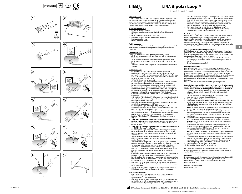









 $\%$ 











## **LiNA Bipolar Loop™**

BL-160-E, BL-200-E, BL-240-E

### **Beoogd gebruik:**

De LiNA Bipolar LoopTM is een 5 mm bipolair elektrochirurgisch instrument dat bedoeld is voor het amputeren van de gemobiliseerde baarmoeder tijdens een laparoscopische supracervicale (subtotale) hysterectomie en de resectie van gedevasculariseerde subserosale pedunculaire myomen. Bedoeld voor gebruik met een elektrochirurgische generator.

#### **Mogelijke complicaties:** • conversie naar laparotomie;

- elektrochirurgische complicaties (bijv. isolatiefout, elektrocutie);
- bloedingen; • defect bij implanteerbaar elektronisch apparaat;
- letsel aan de dunne of dikke darm inclusief perforatie;
- letsel aan de urinewegen;
- thermische brandwonden.

#### **Patiëntpopulatie:**

Vrouw van elke leeftijd en gewicht die een laparoscopische supracervicale hysterectomie of een subserosale penduculaire myomectomie moet ondergaan.

#### **Contra-indicaties:**

Gebruik de LiNA Bipolar LoopTM **NIET** in de volgende situaties: • Als de istmus van de uterus niet zichtbaar is voordat u het instrument inschakelt.

- Als de uterus of het myoom verkleefd is aan omliggende organen. Als de patiënt grote myomen in de posterieure uterus- of cervixwand heeft.
- Amputatie van een uterus die groter is dan bij een zwangerschap in de 20e week.

#### **Waarschuwingen:**

- De LiNA Bipolar Loop™ wordt gesteriliseerd met behulp van ethyleenoxide en wordt STERIEL geleverd. Controleer de verpakking zorgvuldig op schade voorafgaand aan gebruik. Gebruik het hulpmiddel NIET als de steriele barrière is beschadigd. Gebruik het hulpmiddel NIET nadat de vervaldatum is verstreken.
- UITSLUITEND voor eenmalig gebruik. De LiNA Bipolar Loop™ mag NIET opnieuw worden gebruikt, verwerkt of gesteriliseerd. Hergebruik kan de werking van het instrument belemmeren. Hergebruik van hulpmiddelen voor eenmalig gebruik kan ook leiden tot een hoger risico op kruisbesmetting. Pogingen om het instrument te reinigen kunnen tot een verminderde werking leiden en/of tot de verzameling van verkeerde pathologische preparaten ten gevolge van achtergebleven weefsel in de LiNA Bipolar Loop™.<br>• Gebruik het hulpmiddel NIET in de buurt van ontvlambare gassen of
- vloeistoffen. • Gebruik de LiNA Bipolar Loop<sup>TM</sup> NIET als deze vervormd of gedraaid is of
- niet volledig tot de oorspronkelijke ruitvorm uitvouwt als het handvat volledig naar voren is geschoven.  $\cdot$  Pas het oorspronkelijke ruitvormige ontwerp van de LiNA Bipolar Loop $\overline{N}$
- en de isolatie van de elektrode NIET aan.
- De LiNA Bipolar Loop™ moet zo groot zijn dat hij rond het baarmoederlichaam of het myoom past. Breng de lus vervolgens rond de cervix of de steel van de myoom aan.
- Controleer altijd voordat u de generator aanzet of het actieve (d.w.z. niet-geïsoleerde) deel van de elektrode niet in contact komt met andere organen dan de uterus of het myoom (bijv. darmen of bloedvaten). • Zet de LiNA Bipolar LoopTM NIET aan u geen zicht kunt krijgen op de
- snijlus. **• VERWIJDER de uterusmanipulator voordat u de LiNA Bipolar LoopTM inschakelt. Alleen** uterusmanipulators van NIET-GELEIDEND materiaal (bijv. kunststof) mogen in combinatie met de LiNA Bipolar Loop<sup>TM</sup>
- worden gebruikt. **• VERWIJDER het intra-uteriene apparaat (IUD) uit de uterus voordat u**
- **de LiNA Bipolar Loop™ inschakelt.**<br>• De LiNA Bipolar Loop™ mag NIET worden gebruikt bij patiënten bij wie de blaas niet volledig kan worden doorgesneden ter hoogte van het onderste anterieure baarmoedersegment wegens het risico op letsel aan de blaas.
- Zorg dat de kabel van de LiNA Bipolar LoopTM tijdens de elektrochirugische activatie NIET in contact komt met de huid van de
- patiënt of de chirurg. Zet NIET teveel kracht/gewicht op de LiNA Bipolar LoopTM. Dit kan het product beschadigen of leiden tot het afknellen en mechanisch afsnijden van de uterus of het myoom met risico op overmatige bloeding.
- Zorg dat u de elektrode inschakelt voordat u de LiNA Bipolar Loop™ terugtrekt. Als de activering mislukt, kan dit leiden tot een mechanisch afsnijden van de uterus of het myoom met risico op overmatige bloeding.
- Gebruik de LiNA Bipolar Loop™ niet voor het verwijderen van weefsel of myomen uit de baarmoeder als alternatief voor morcellatie.
- Zorg dat de keramische tip volledig in de schacht/buis is teruggetrokken voordat u de LiNA Bipolar LoopTM door de trocar haalt, om te voorkomen dat de keramische tip in de flap van de klep vast komt te zitten. • Het product en de verpakking dienen na gebruik te worden afgevoerd
- overeenkomstig het beleid van het ziekenhuis en administratieve en/of lokale overheden.
- Schakel het hulpmiddel NIET in als de niet-geïsoleerde draden van de LiNA Bipolar Loop™ in contact komen met metalen voorwerpen.

- **Voorzorgsmaatregelen:**<br>• Het gebruik van de LiNA Bipolar Loop™ vereist adequate training alsmede ervaring met het uitvoeren van laparoscopische hysterectomieën en myomectomieën.
- Het niet strikt opvolgen van alle toepasselijke instructies kan leiden tot aanzienlijke verwondingen aan de patiënt, arts of aanwezigen en kan de resultaten van de uitgevoerde procedures nadelig beïnvloeden.
- Er moeten voorzorgsmaatregelen worden genomen wanneer de patiënt een geïmplanteerd elektronisch apparaat heeft. Het perioperatief team dient vóór de operatie en wanneer nodig te overleggen met het team dat het geïmplanteerde apparaat beheert. Wanneer de LiNA Bipolar LoopTM geactiveerd is, moet deze op meer dan 1 cm (½ inch) van het geïmplanteerde elektronische apparaat worden gehouden.
- Wees voorzichtig met het gebruik van de LiNA Bipolar LoopTM in combinatie met ander scherp gereedschap, omdat beschadiging van de draadisolatie kan leiden tot defecten aan het apparaat.

**Productomschrijving:**<br>De LiNA Bipolar Loop™ bestaat uit een zwarte buitenbuis en een blauwe binnenbuis waaraan het handvat van het apparaat is bevestigd. De ruitvormige lus is bevestigd aan de binnenbuis en wordt voortbewogen door het bovenste deel van de zwarte buitenbuis vast te houden en tegelijkertijd het blauwe handvat naar voren te duwen. Om de lus in te trekken, trekt u voorzichtig met één hand aan het blauwe handvat terwijl u met de andere hand de zwarte buitenbuis vasthoudt.

#### **Specificaties en instellingen van de generator:**

De LiNA Bipolar Loop™ is compatibel met de meeste elektrochirurgische generatoren met bipolaire uitgang. Sluit de Europese stekker aan op een standaard bipolaire kabel die op uw generator past. Sluit de bipolaire kabel aan op de bipolaire uitgang van de generator.

- De aanbevolen instelling voor de generator is 55-70 watt. Gebruik de laagst mogelijke instellingen om het gewenste chirurgische effect te bereiken.
- Gebruik een bipolair voetpedaal.

#### **Gebruiksaanwijzingen:**

Deze informatie wordt verstrekt voor het gebruik van de LiNA Bipolar LoopTM. Deze informatie vormt geen demonstratie van laparoscopische technieken of procedures. Raadpleeg gepubliceerde en erkende medische literatuur vóór aanvang van elke laparoscopische procedure om op de hoogte te zijn van de juiste technieken, complicaties en gevaren. Raadpleeg de gebruiksaanwijzing van de fabrikant van de elektrochirurgische generator en/of laparoscoop die u gaat gebruiken, in verband met contraindicaties.

Lees de gebruiksinstructies voordat u dit hulpmiddel gebruikt!

## **Nadat de ligamenten en bloedvaten van de uterus op de juiste manier zijn afgebonden, kan de uterus geamputeerd worden van de cervix of de myoom van de steel, met behulp van de onderstaande instructies:**

- 1. Controleer de verpakking zorgvuldig op schade voorafgaand aan gebruik. Gebruik het hulpmiddel NIET als de steriele barrière is beschadigd.
- 2. Sluit de LiNA Bipolar Loop™ aan op de bipolaire uitgang van de generator. Stel de generator in op 55-70 watt.<br>3. Breng de LiNA Bipolar Loop™ voorzichtig in via een 5 mm trocar.
- 4. **a.** Vouw de elektrode (lus) uit door het handvat naar voren te schuiven. Het handvat moet volledig naar voren zijn geschoven en de lus moet volledig zijn uitgevouwen voor u de lus rond het baarmoederlichaam of myoom plaatst.
- **b.** Gebruik de grijper(s) en de uterusmanipulator om de elektrode (lus) ar debit and grigper(b) en de diendsmanipulater om 5. Voordat u de generator inschakelt, controleert u altijd of het actieve
- (d.w.z. niet-geïsoleerde) deel van de elektrode niet in contact komt met andere organen dan de uterus of het myoom (bijv. darmen of bloedvaten).
- 6. **a.** Trek de lus voorzichtig aan rond het onderste gedeelte van het baarmoederlichaam (boven de cervix) of de steel van de myoom. **b. VERWIJDER** de uterusmanipulator en verminder de spanning van de lus een beetje.
- 7. **a.** Activeer de LiNA Bipolar Loop™ door het bipolaire pedaal in te drukken. Wacht op de bipolaire energie voordat u de uterus of het myoom wegsnijdt. Onmiddellijk terugtrekken van de lus kan een onbedoelde mechanische snede veroorzaken. **b.** Nadat de uterus of het myoom is geamputeerd, mag u de elektroden niet activeren om de uterus of het myoom te manipuleren of door te
- snijden. 8. Controleer na het amputeren van de baarmoederhals of het proximale
- gedeelte van het endocervicale kanaal, dat endometriumcellen zou kunnen bevatten, gecoaguleerd is en controleer of de cervixstomp voldoende gecoaguleerd is, zodat deze niet meer bloedt of lekt.
- Verwijder de LiNA Bipolar Loop™ via de trocar. 10. Gooi de LiNA Bipolar Loop™ weg na gebruik.

Geef patiënten altijd instructies voor de follow-up in het geval van complicaties, waaronder intra-abdominale bloedingen, die in zeldzame gevallen leiden tot uitbloeding.

#### **Meldingen:**

Ernstige incidenten die zijn opgetreden met betrekking tot dit hulpmiddel, moeten worden gemeld bij LiNA Medical ApS en de bevoegde regelgevende instantie van het land waarin de gebruiker en/of patiënt zich bevindt.

Land van oorsprong: Polen. CE-markering: 2012.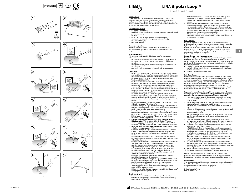









 $\%$ 













## **LiNA Bipolar Loop™**

BL-160-E, BL-200-E, BL-240-E

#### **Przeznaczenie:**

LiNA Bipolar Loop™ jest bipolarnym urządzeniem elektrochirurgicznym o średnicy 5 mm przeznaczonym do amputacji zmobilizowanej macicy podczas laparoskopowej histerektomii nadszyjkowej (subtotalnej) i resekcji zdewaskularyzowanych uszypułowanych mięśniaków podśluzówkowych. Do stosowania z generatorem elektrochirurgicznym.

#### **Potencjalne powikłania:** • konwersja do laparotomii;

- powikłania związane z zabiegiem elektrochirurgicznym (np. awaria izolacji, porażenie prądem);
	- krwotok;
- uszkodzenie wszczepialnego instrumentu elektrycznego;
- uszkodzenie jelita cienkiego lub grubego w tym perforacja; • uraz dróg moczowych;
- oparzenia termiczne.

### **Populacja pacjentów:**

Kobiety w dowolnym wieku i o dowolnej masie ciała kwalifikujące się do laparoskopowej histerektomii nadszyjkowej lub miomektomii uszypułowanych mięśniaków podśluzówkowych.

#### **Przeciwwskazania:**

**NIE** wolno stosować narzędzia LiNA Bipolar Loop™ w następujących sytuaciach:

- Brak możliwości obwodowej wizualizacji cieśni macicy przed aktywacją. • Przyleganie macicy lub mięśniaka do któregokolwiek z sąsiadujących narządów.
- Występowanie u pacjentki dużych mięśniaków tylnej ściany macicy lub szyjki macicy.
- Amputacja macicy o rozmiarze większym niż w 20. tygodniu ciąży.

- **Ostrzeżenia:**<br>• Narzędzie LiNA Bipolar Loop™ jest dostarczane w stanie STERYLNYM (po sterylizacji tlenkiem etylenu). Przed użyciem należy starannie skontrolować opakowanie pod kątem uszkodzeń. NIE używać w przypadku uszkodzenia bariery sterylnej. NIE UŻYWAĆ sprzętu po upływie daty przydatności. • Wyrób jest JEDNORAZOWY.
- NIE WOLNO używać instrumentu LiNA Bipolar LoopTM wielokrotnie ani go resterylizować bądź odkażać w inny sposób. Wszelkie modyfikacje mogą zakłócić funkcjonowanie narzędzia. Wielokrotne użytkowanie wyrobów jednorazowych zwiększa ryzyko wzajemnego zakażenia. Czyszczenie instrumentu LiNA Bipolar LoopTM grozi jego uszkodzeniem lub nieprawidłowym pobieraniem próbek patologicznych z powodu obecności śladów tkanek z poprzednich zabiegów.
- NIE wolno używać wyrobu w pobliżu łatwopalnych gazów i cieczy. • NIE wolno używać narzędzia LiNA Bipolar Loop<sup>TM</sup>, jeśli pętla jest zagięta, skręcona, zniekształcona lub nie rozwija się całkowicie do oryginalnie
- zaprojektowanego kształtu romboidalnego po całkowitym wprowadzeniu uchwytu. • NIE należy modyfikować oryginalnej konstrukcji romboidalnej ani izolacji
- elektrody narzędzia LiNA Bipolar Loop™. • Narzędzie LiNA Bipolar LoopTM musi być wystarczająco duże, aby możliwe
- było jego przesunięcie przez trzon macicy lub mięśniaka. Następnie należy nałożyć pętlę na szyjkę macicy lub szypułę mięśniaka.
- Przed włączeniem generatora należy zawsze upewnić się, że aktywna (tj. pozbawiona izolacji) część elektrody nie styka się z żadnym narządem innym niż macica lub mięśniak (np. jelitem lub naczyniem krwionośnym). • NIE wolno uaktywniać narzędzia LiNA Bipolar Loop<sup>TM</sup>, jeśli nie ma
- możliwości wizualizacji petli tnacej. **• Należy USUNĄĆ manipulator maciczny przed aktywacją narzędzia LiNA Bipolar LoopTM.** Z narzędziem LiNA Bipolar LoopTM można
- stosować **wyłącznie** manipulatory maciczne wykonane z MATERIAŁU NIEPRZEWODZĄCEGO PRĄDU ELEKTRYCZNEGÓ (np. tworzywo sztuczne) **• Przed aktywacją narzędzia LiNA Bipolar LoopTM należy WYJĄĆ z macicy**
- **wkładkę wewnątrzmaciczną (IUD).**  Narzędzie LiNA Bipolar Loop™ NIE powinno być stosowane u pacjentek u których nie jest możliwe odpreparowanie pęcherza od dolnej części przedniej ściany macicy, ze względu na ryzyko uszkodzenia pęcherza
- moczowego. • NIE zbliżać przewodu narzędzia LiNA Bipolar LoopTM do skóry pacjentki (ani lekarza wykonującego zabieg), gdy narzędzie zasilane jest z generatora
- elektrochirurgicznego. NIE używać nadmiernej siły / nadmiernego obciążenia podczas korzystania z narzędzia LiNA Bipolar Loop™. Może to skutkować uszkodzenien produktu lub zaciśnięciem i mechanicznym rozcięciem macicy lub mięśniaka macicy, co wiąże się z ryzykiem nadmiernego krwawienia.
- Należy upewnić się, że elektroda została aktywowana przed retrakcją narzędzia LiNA Bipolar LoopTM. Brak aktywacji może skutkować mechanicznym rozcięciem macicy lub mięśniaka macicy, co wiąże się z ryzykiem nadmiernego krwawienia.
- Nie używać narzędzia LiNA Bipolar LoopTM do rozcinania macicy lub mięśniaka jako alternatywy do morcelacji.
- Przed wyjęciem narzędzia LiNA Bipolar LoopTM przez trokar należy upewnić się, że końcówka ceramiczna jest całkowicie wsunięta do trzonu/rurki, aby zapobiec zakleszczeniu końcówki ceramicznej w klapie zaworu.
- Po użyciu usunąć produkt i opakowanie zgodnie z zasadami obowiązującymi w szpitalu, procedurami administracyjnymi i (lub) rozporządzeniami lokalnych władz.
- NIE aktywować, jeśli nieizolowane przewody narzędzia LiNA Bipolar Loop™ stykają się z metalowymi przedmiotami.

#### **Środki ostrożności:**

**• Praca z narzędziem LiNA Bipolar Loop™ wymaga odpowiedniego** wykształcenia medycznego i doświadczenia w zakresie laparoskopowej histerektomii i miomektomii.

- Niedokładne stosowanie się do wszelkich stosownych instrukcji może doprowadzić do poważnych obrażeń pacjenta, lekarza lub osób asystujących i może niekorzystnie wpłynąć na wynik wykonywanego zabiegu.
- Należy zachować środki ostrożności, gdy pacjent ma wszczepione urządzenie elektroniczne (IED). Przed operacją w razie potrzeby zespół okołooperacyjny powinien skonsultować się z zespołem zarządzającym wszczepionym urządzeniem. Gdy narzędzie LiNA Bipolar LoopTM zostanie aktywowane, musi znajdować się w odległości większej niż 1 cm (½ cala) od wszczepionego urządzenia elektronicznego (IED).
- Ostrożnie używać narzędzia LiNA Bipolar LoopTM z innymi ostrymi narzędziami, ponieważ uszkodzenie izolacji przewodu może doprowadzić do uszkodzenia instrumentu.

#### **Opis produktu:**

Narzędzie LiNA Bipolar LoopTM składa się z czarnej rurki zewnętrznej i niebieskiej rurki wewnętrznej, do której przymocowany jest uchwyt wyrobu. Pętla romboidalna jest przymocowana do rurki wewnętrznej i jest przesuwana do przodu poprzez przytrzymanie górnej części czarnej rurki zewnętrznej i popchnięcie do przodu niebieskiego uchwytu. Aby zwinąć pętlę, należy delikatnie pociągnąć niebieski uchwyt jedną ręką, jednocześnie drugą ręką przytrzymując czarną rurkę zewnętrzną.

#### **Dane techniczne i ustawienia generatora:**

Narzędzie LiNA Bipolar Loop™ jest kompatybilne z większością generatorów<br>elektrochirurgicznych z gniazdem dwubiegunowym. Należy podłączyć złącze w standardzie europejskim do standardowego przewodu bipolarnego pasującego do danego generatora. Podłączyć przewód bipolarny do gniazda bipolarnego generatora.

- Zalecane ustawienie dla generatora to 55–70 watów. Należy stosować możliwie najniższe ustawienia, które pozwolą na uzyskanie pożądanego efektu chirurgicznego.
- Stosować dwubiegunowy pedał nożny.

#### **Instrukcja obsługi:**

**Poniższe informacje dotyczą obsługi narzędzia LiNA Bipolar Loop™ Nie są** przeznaczone do prezentacji technik lub procedur laparoskopowych. Przed wykonaniem jakiegokolwiek zabiegu laparoskopowego należy przestudiować uznaną literaturę medyczną w celu zapoznania się z właściwymi technikami, możliwymi powikłaniami i zagrożeniami. Należy zapoznać się z instrukcją obsługi dostarczoną przez producenta stosowanego generatora elektrochirurgicznego i/lub laparoskopu w celu poznania przeciwwskazań. Przed użyciem tego wyrobu należy zapoznać się z instrukcją obsługi!

#### **Po prawidłowym podwiązaniu naczyń krwionośnych i więzadeł macicy można przeprowadzić bezpieczną amputację macicy powyżej szyjki lub mięśniaka powyżej szypuły, zgodnie z poniższymi instrukcjami:** 1. Przed użyciem należy starannie skontrolować opakowanie pod kątem

- uszkodzeń. NIE WOLNO używać instrumentu, jeżeli opakowanie sterylne jest uszkodzone.
- 2. Podłączyć narzędzie LiNA Bipolar LoopTM do gniazda dwubiegunowego generatora. Ustawić generator na moc 55–70 watów.
- 3. Ostrożnie włożyć narzędzie LiNA Bipolar Loop™ przez trokar o średnicy 5 mm. 4. **a.** Rozwinąć elektrodę (pętlę), popychając uchwyt. Przed nałożeniem pętli
- na trzon macicy lub mięśniaka należy całkowicie wprowadzić uchwyt i całkowicie rozłożyć pętlę. **b.** W celu ułatwienia umieszczenia elektrody (pętli) wokół trzonu macicy lub mięśniaka należy posługiwać się grasperami i manipulatorem
- macicznym. 5. Przed włączeniem generatora zawsze należy upewnić się, że aktywna (tj. pozbawiona izolacji) część elektrody nie styka się z żadnym narządem
- (np. jelitem bądź naczyniem) innym niż macica lub mięśniak. 6. **a.** Ostrożnie zacisnąć pętlę wokół dolnej części trzonu macicy (powyżej szyjki macicy) lub szypuły mięśniaka.
- **b. USUNĄĆ** manipulator maciczny, delikatnie zmniejszając zacisk pętli. 7. **a.** Aktywować narzędzie LiNA Bipolar LoopTM, naciskając pedał bipolarny. Należy pamiętać, aby rozpoczęciem cięcia macicy lub mięśniaka poczekać na energię bipolarną. Natychmiastowe wciągnięcie pętli może .<br>spowodować niezamierzone mechaniczne przeciecie **b.** Po amputacji macicy lub mięśniaka nie należy aktywować elektrod w celu manipulowania macicą lub mięśniakiem ani w celu podzielenia macicy lub mięśniaka.
- 8. Po odcięciu macicy od szyjki należy upewnić się, że przeprowadzono koagulację proksymalnej części kanału szyjkowego, która może zawierać komórki endometrium, oraz wszelkich źródeł krwawienia lub wysięku przy kikucie szyjki macicy.
- 9. Usunąć narzędzie LiNA Bipolar Loop™ poprzez trokar. 10. Zutylizować narzędzie LiNA Bipolar Loop™ po jego wykorzystaniu.

Udzielić pacjentce instrukcji dotyczących konieczności odbycia wizyty kontrolnej, zwłaszcza w przypadku powikłań, w tym krwawienia do jamy brzusznej, które w rzadkich przypadkach może prowadzić do wykrwawienia.

#### **Raportowanie:**

Wszelkie poważne wypadki związane ze stosowaniem wyrobu należy zgłosić firmie LiNA Medical ApS oraz odpowiednim organom regulacyjnym w kraju stałego zamieszkania użytkownika i (lub) pacjenta.

Kraj pochodzenia: Polska. Oznakowanie CE 2012.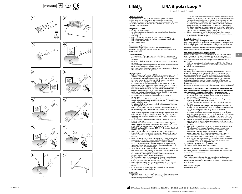









 $\mathbf{z}$ 

**70 W 55 W** 

 $\%$ 









## **LiNA Bipolar Loop™**

BL-160-E, BL-200-E, BL-240-E

### **Utilisation prévue :**

Le LiNA Bipolar Loop™ est un dispositif électrochirurgical bipolaire<br>de 5 mm destiné à l'amputation de l'utérus mobilisé pendant une hystérectomie supracervicale (subtotale) par cœlioscopie et à la résection des myomes sous-séreux pédiculés dévascularisés. Il s'utilise avec un acs *myonnes sous sereux* peux

#### **Complications possibles :** • conversion en laparotomie ;

- complications électrochirurgicales (par exemple, défaut d'isolation,
- électrocution) ; • hémorragie ;
- dysfonctionnement d'un dispositif électrique implantable ;
- lésions faibles ou importantes aux intensins, y compris perforation ;
- lésions des voies urinaires : • brûlures thermiques.

#### **Population de patients :**

Femmes de tous âges et poids devant subir une hystérectomie supracervicale par cœlioscopie ou une myomectomie de fibrome sousséreux ou pédiculé.

#### **Contre-indications :**

- **Le LiNA Bipolar Loop™ NE DOIT PAS** être utilisé dans les cas suivants : • Si la circonférence de l'isthme utérin ne peut pas être visualisée avant activation.
- En présence d'adhérences entre l'utérus ou le myome et des organes adjacents.
- Si la patiente présente des myomes volumineux sur la face postérieure de la cavité utérine ou sur la paroi cervicale.
- Pour l'amputation d'un utérus dont le volume est supérieur à celui d'un utérus en 20ème semaine de grossesse.

- **Avertissements <u>:</u>**<br>• Le LiNA Bipolar Loop™ est fourni STERILE selon une procédure à l'oxyde d'éthylène. Inspecter soigneusement l'emballage afin de détecter d'éventuels dommages avant emploi. NE PAS utiliser si la barrière stérile est endommagée. Ne PAS utiliser au-delà de la date d'expiration. • EXCLUSIVEMENT conçu pour un usage unique.
- NE PAS réutiliser, retraiter ou restériliser le LINA Bipolar Loop™. Tout retraitement risque d'entraver le bon fonctionnement du dispositif. La réutilisation du dispositif à usage unique peut également augmenter le risque de contamination croisée. Toute tentative de nettoyer le dispositif risque de provoquer un dysfonctionnement et/ou un prélèvement d'échantillon pathologique erroné du fait de la présence de tissu résiduel dans le LiNA Bipolar Loop™.
- NE PAS utiliser le dispositif en présence de gaz ou de liquides inflammables. • NE PAS utiliser si le LiNA Bipolar LoopTM est plié, tordu, déformé ou si,
- lorsque la poignée est complètement avancée, l'anse ne retrouve pas sa forme losange originale
- NE PAS modifier la forme losange originale et l'isolation de l'électrode du LiNA Bipolar Loop™.<br>• Le LiNA Bipolar Loop™ doit être de taille suffisante pour passer autour
- de la masse de l'utérus et du myome. Placer ensuite l'anse autour du col de l'utérus ou du pédoncule du myome.
- Avant d'activer le générateur, toujours vérifier que la partie active (c'està-dire non isolée) de l'électrode n'est pas en contact avec un organe autre que l'utérus ou le myome (par exemple, intestins ou vaisseaux sanguins).
- NE PAS activer le LiNA Bipolar Loop™ s'il est impossible de visualiser l'anse de résection.
- **• RETIRER le manipulateur utérin avant d'activer le LiNA Bipolar Loop™. <u>Seul</u>** un manipulateur utérin en matériau NON CONDUCTEUR<br>(p. ex. plastique) doit être utilisé avec le LiNA Bipolar Loop™.
- **• RETIRER le dispositif intra-utérin (DIU) de l'utérus avant d'activer le LiNA Bipolar LoopTM.**
- Le LiNA Bipolar LoopTM NE DOIT PAS être utilisé sur les patientes sur lesquelles la vessie ne peut pas être totalement disséquée de la partie antérieure-inférieure du segment utérin du fait du risque de lésions vésicales.
- Éviter tout contact du câble du LiNA Bipolar Loop™ avec la peau de la patiente ou du chirurgien pendant l'activation électrochirurgicale. • NE PAS forcer ni appuyer de façon excessive sur le LiNA Bipolar
- Loop™. Cela risquerait d'endommager le produit ou d'occasionne une strangulation et un sectionnement mécanique de l'utérus ou du myome, avec un risque d'hémorragie.
- Veiller à activer l'électrode avant de rétracter le LiNA Bipolar Loop<sup>TM</sup>. Ne pas l'activer peut occasionner un sectionnement mécanique de l'utérus ou du myome, avec un risque d'hémorragie.
- Ne pas utiliser le LiNA Bipolar Loop™ pour découper l'utérus ou le myome comme une alternative à la morcellation.
- Vérifier que l'extrémité en céramique est entièrement rétractée dans l'axe/le tube avant d'extraire le LiNA Bipolar Loop™ par le trocart afin d'éviter que l'extrémité céramique se coince dans le clapet. • Après utilisation, le dispositif et son emballage doivent être éliminés
- conformément aux politiques hospitalières, administratives et/ou locales.
- NE PAS activer si les fils non isolés du LiNA Bipolar Loop™ sont en contact avec des objets métalliques.

#### **Précautions :**

• L'utilisation du LiNA Bipolar LoopTM nécessite une formation appropriée et une expérience pratique des procédures d'hystérectomie et de myomectomie par cœlioscopie.

#### • Le non-respect de l'ensemble des instructions applicables peut causer des blessures graves chez la patiente, le médecin ou son équipe et peut avoir des effets indésirables sur les résultats des procédures réalisées.

- Des précautions doivent être prises lorsque la patiente porte un dispositif électronique implanté (DEI). L'équipe péri-opératoire devra consulter l'équipe chargée de la gestion du dispositif implanté avant d'envisager toute intervention chirurgicale et en fonction des besoins. Lorsque le LiNA Bipolar Loop™ est en marche, il conviendra de le garder à une distance supérieure à ½ pouce (1 cm) du DEI.
- d'une distance superieure d'∠e pouce († enr.) du BEn.<br>Utiliser avec précaution le LiNA Bipolar Loop™ avec d'autres outils tranchants, car toute détérioration de l'isolant du câble peut entraîner un dysfonctionnement du dispositif.

**Description du produit :**<br>Le LiNA Bipolar Loop™ se compose d'un tube noir externe et d'un tube bleu interne sur lequel est fixée la poignée du dispositif. L'anse losange est fixée au tube interne. Pour la faire avancer, il suffit de maintenir la partie supérieure du tube externe noir tout en poussant la poignée bleue vers l'avant. Pour rétracter l'anse, tirer délicatement la poignée bleue d'une main tout en maintenant le tube externe noir de l'autre.

#### **Caractéristiques et réglage du générateur :**

Le LiNA Bipolar Loop™ est compatible avec la plupart des générateurs électrochirurgicaux standards équipés d'une prise bipolaire. Relier le connecteur de modèle européen à un câble bipolaire standard utilisable avec votre générateur. Relier le câble bipolaire à la prise bipolaire du générateur.

**fr**

• Il est recommandé de régler le générateur sur 55–70 watts. Utiliser le réglage le plus faible permettant d'obtenir l'effet chirurgical souhaité. Utiliser une pédale bipolaire.

#### **Mode d'emploi :**

Ces informations sont relatives à l'utilisation du dispositif LiNA Bipolar Loop™. Elles n'ont pas pour vocation d'expliquer les techniques ou les procédures de cœlioscopie. Avant une intervention sur une patiente, consulter les publications médicales faisant référence pour connaître les techniques, les complications et les risques liés aux techniques de cœlioscopie. Consulter le mode d'emploi fourni par le fabricant du générateur électrochirurgical et/ou de l'endoscope pour connaître ses contre-indications. Lire attentivement les instructions d'utilisation avant d'utiliser ce dispositif.

**Lorsque les ligaments utérins et les vaisseaux ont été correctement ligaturés, l'utérus peut être amputé à partir du col ou le myome peut être amputé du pédoncule, selon les instructions suivantes :**

- 1. Inspecter soigneusement l'emballage afin de détecter d'éventuels dommages avant emploi. Ne PAS tenter d'utiliser le dispositif si la barrière stérile est endommagée.
- 2. Brancher le LiNA Bipolar Loop™ sur la prise bipolaire du générateur. Régler le générateur entre 55 et 70 watts.
- 3. Introduire délicatement le LiNA Bipolar Loop™ à l'aide d'un trocart de 5 mm.
- 4. **a.** Déplier l'électrode (anse) en poussant la poignée vers l'avant. La poignée doit être complètement avancée et l'anse totalement dépliée avant de placer l'anse autour du corps utérin ou du myome. **b.** Utiliser une ou plusieurs pinces et le manipulateur utérin pour positionner l'électrode (anse) autour du corps utérin ou du myome.
- 5. Avant d'activer le générateur, toujours vérifier que la partie active (non isolée) de l'électrode n'est pas en contact avec un organe autre que l'utérus ou le myome (par exemple, intestins ou vaisseaux sanguins).
- 6. **a.** Resserrer soigneusement l'anse autour de la partie inférieure du corps utérin (au-dessus du col) ou autour du pédoncule du myome. **b. RETIRER** le manipulateur utérin en relâchant légèrement la tension de l'anse.
- 7. **a.** Activer le LiNA Bipolar LoopTM en appuyant sur la pédale bipolaire. Veiller à ce que l'énergie bipolaire soit active avant de sectionner l'utérus ou le myome. Une rétractation immédiate de l'anse peut occasionner un sectionnement mécanique accidentel. **b.** Après amputation de l'utérus ou du myome, ne pas activer les
- électrodes pour manipuler ou diviser l'utérus ou le myome. 8. Après retrait de l'utérus du col, vérifier la coagulation de la partie proximale du canal endocervical, susceptible de contenir des cellules endométriales, et vérifier la coagulation de tout saignement ou suintement au niveau du moignon du col.
- Retirer le LiNA Bipolar Loop™ à l'aide du trocart. 10. Eliminer le LiNA Bipolar Loop™ après usage

Indiquer aux patientes la marche à suivre en cas de complications, y compris de saignements intra-abdominaux pouvant dans de rares cas entraîner des exsanguinations.

#### **Signalement :**

Tout incident grave qui surviendrait dans le cadre de l'utilisation de ce dispositif devra être signalé à LiNA Medical ApS et aux autorités réglementaires compétentes du pays dans lequel se trouvent l'utilisateur et/ou le patient.

Pays d'origine : Pologne. Marquage CE 2012.





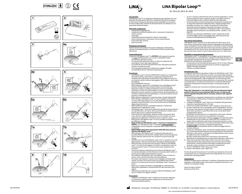









 $\%$ 











## **LiNA Bipolar Loop™**

BL-160-E, BL-200-E, BL-240-E

#### **Uso previsto:**

<u>Las pressesses</u><br>LiNA Bipolar Loop™ è un dispositivo elettrochirurgico bipolare da 5 mm destinato all'amputazione dell'utero mobilizzato durante la procedura di isterectomia sopracervicale laparoscopica (subtotale) e la resezione di miomi peduncolati sottosierosi devascolarizzati. Da utilizzare con un generatore elettrochirurgico.

#### **Potenziali complicanze:** • conversione in laparatomia;

- complicanze elettrochirurgiche (ad es. mancanza di isolamento, elettrocuzione);
- emorragia;
- malfunzionamento di dispositivi elettrici impiantabili;
- lesioni intestinali più o meno gravi inclusa la perforazione;
- lesioni del tratto urinario; lesioni termiche

#### **Popolazione di pazienti:**

Pazienti femmine di qualsiasi età e peso sottoposte a isterectomia sopracervicale laparoscopica o miomectomia di fibromi peduncolati sottosierosi.

#### **Controindicazioni:**

- **L'utilizzo di LiNA Bipolar Loop™ va <b>EVITATO** nelle seguenti situazioni: • Se, prima dell'attivazione, non si riesce a visualizzare l'intera circonferenza dell'istmo uterino.
- Se sono presenti aderenze uterine o il mioma ha aderenze che coinvolgono l'utero egli organi adiacenti.
- Se la paziente ha miomi di grandi dimensioni sulla parete posteriore uterina o su quella cervicale.
- Se l'amputazione dell'utero ha dimensioni maggiori di quelle corrispondenti alla 20° settimana di gestazione.

- **Avvertenze:**<br>• LiNA Bipolar Loop™ è fornito STERILIZZATO mediante un trattamento all'ossido di etilene. Prima dell'uso, ispezionare attentamente la confezione per individuare eventuali danni. Non utilizzare nel caso in cui la barriera sterile risultasse danneggiata. NON utilizzare oltre la data di scadenza. • ESCLUSIVAMENTE monouso.
- Le ce commiente monoaso.<br>NON riutilizzare, rigenerare o risterilizzare l'ansa LiNA Bipolar Loop™ Qualsiasi ritrattamento può compromettere la funzionalità del dispositivo. Inoltre, il riutilizzo di dispositivi monouso potrebbe aumentare il rischio di contaminazione crociata. I tentativi di pulire il dispositivo possono condurre al malfunzionamento del dispositivo e/o al prelievo erroneo di tessuto patologico, a causa dei residui di tessuto presenti su LiNA Bipolar Loop™.
- NON utilizzare il dispositivo in presenza di gas o liquidi infiammabili. • NON utilizzare LiNA Bipolar LoopTM se l'ansa è piegata, arrotolata su se stessa, deformata oppure se, una volta aperta con l'impugnatura spostata in avanti fino a fine corsa, non assume la forma romboidale originariamente prevista.
- NON modificare la forma romboidale originaria e l'isolamento dell'elettrodo di LiNA Bipolar Loop™.
- LiNA Bipolar LoopTM deve essere abbastanza grande da passare attorno al corpo dell'utero o al mioma. Solo successivamente si colloca l'ansa intorno alla cervice o al peduncolo del mioma.
- Prima di attivare il generatore, verificare sempre che la parte attiva (vale a dire non isolata) dell'elettrodo non sia in contatto con alcun organo diverso dall'utero o dal mioma (ad es. intestino o vaso).
- NON attivare LiNA Bipolar Loop™ se non è possibile visualizzare l'ansa per effettuare il taglio.
- **• Prima di attivare LiNA Bipolar LoopTM, rimuovere il manipolatore uterino.** Con LiNA Bipolar Loop™ va utilizzato **esclusivamente** un manipolatore uterino realizzato in materiale NON CONDUTTORE (ad es. plastica).
- **• RIMUOVERE il dispositivo intrauterino (IUD) dall'utero prima di attivare LiNA Bipolar LoopTM.**
- NON utilizzare LiNA Bipolar LoopTM in pazienti nelle quali non è possibile effettuare la dissezione completa della vescica dal segmento uterino inferiore anteriore per non rischiare di causare lesioni alla
- vescica. EVITARE che il cavo di LiNA Bipolar LoopTM entri in contatto con la cute della paziente o del chirurgo durante l'attivazione elettrochirurgica. • NON esercitare una forza eccessiva durante l'utilizzo di LiNA Bipolar
- Loop™. Si rischia di danneggiare il prodotto o intrappolare e lacerare<br>meccanicamente l'utero o il mioma, provocando sanguinamento eccessivo.
- Accertarsi di attivare l'elettrodo prima di ritirare LiNA Bipolar Loop™ La mancata attivazione rischia di lacerare meccanicamente l'utero o il mioma, provocando sanguinamento eccessivo.
- Non utilizzare LiNA Bipolar LoopTM per tagliare l'utero o il mioma in sezioni, come soluzione alternativa alla morcellazione.
- Per evitare che la punta in ceramica resti impigliata nel lembo della valvola, accertarsi che la punta stessa sia completamente ritratta nell'asta o nel tubo prima di estrarre LiNA Bipolar Loop™ attraverso il trocar.
- Dopo l'uso, smaltire il prodotto e l'imballaggio in conformità alle disposizioni ospedaliere e amministrative e/o alle normative locali vigenti.
- NON attivare il dispositivo se i cavi non isolati di LiNA Bipolar Loop<sup>TM</sup> sono in contatto con oggetti metallici.

#### **Precauzioni:**

**L'utilizzo di LiNA Bipolar Loop™ richiede una formazione adeguata** e la necessaria esperienza nello svolgimento di miomectomia e isterectomia laparoscopiche.

- Se non si seguono attentamente tutte le istruzioni applicabili, si rischia di provocare lesioni gravi a pazienti, medici o assistenti nonché un
- eventuale effetto avverso sull'esito dell'intervento effettuato. • Occorre prendere le dovute precauzioni se la paziente è portatrice di un dispositivo elettronico impiantato (IED). L'équipe perioperatoria dovrebbe consultarsi con i medici che gestiscono il dispositivo impiantato prima di eseguire l'intervento chirurgico e secondo necessità. Quando il dispositivo LiNA Bipolar Loop™ viene attivato, dovrebbe essere mantenuto a una distanza di oltre ½ pollice (1 cm) dallo IED.
- Utilizzare con attenzione LiNA Bipolar Loop™ unitamente ad altri strumenti affilati, poiché il danneggiamento dell'isolamento può causare il malfunzionamento del dispositivo.

#### **Descrizione del prodotto:**

LiNA Bipolar Loop™ consiste di un tubo esterno di colore nero e di un tubo interno di colore blu al quale è fissata l'impugnatura del dispositivo. L'ansa romboidale è fissata al tubo interno e viene fatta avanzare tenendo stretta la parte superiore del tubo esterno nero mentre si spinge in avanti l'impugnatura blu. Per ritrarre l'ansa, tirare delicatamente l'impugnatura blu con una mano mentre si tiene il tubo esterno nero con l'altra mano.

#### **Specifiche e impostazioni del generatore:**

LiNA Bipolar Loop<sup>TM</sup> è compatibile con la maggior parte dei generatori elettrochirurgici con uscita bipolare. collegare il connettore europeo a un cavo bipolare standard idoneo al proprio generatore. Collegare il cavo bipolare all'uscita bipolare sul generatore.

- L'impostazione raccomandata del generatore è di 55-70 watt. Utilizzare le impostazioni minime possibili tali da consentire di raggiungere l'effetto chirurgico desiderato.
- Utilizzare un pedale bipolare.

#### **Istruzioni per l'uso:**

Le seguenti informazioni riguardano l'utilizzo di LiNA Bipolar LoopTM. Non sono fornite allo scopo di illustrare tecniche o procedure laparoscopiche. Prima di intraprendere qualsiasi procedura laparoscopica, per informazioni sulle tecniche appropriate, sulle complicanze e sui rischi associati fare riferimento alla letteratura medica pubblicata e riconosciuta. Per eventuali controindicazioni, consultare le istruzioni per l'uso fornite dall'azienda produttrice del generatore elettrochirurgico e/o del laparoscopio da utilizzare.

Leggere le istruzioni per l'uso prima di utilizzare questo dispositivo!

#### **Dopo che i legamenti e i vasi uterini sono stati correttamente legati, quando l'utero può essere amputato dalla cervice o il mioma può essere amputato dal peduncolo in sicurezza, attenersi alle seguenti istruzioni:** 1. Prima dell'uso, ispezionare attentamente la confezione per individuare

- eventuali danni. NON tentare di utilizzare il dispositivo se la barriera sterile è danneggiata. 2. Collegare LiNA Bipolar LoopTM alla presa monopolare del generatore.
- Impostare il generatore tra 55 e 70 watt.
- 3. Inserire con cautela LiNA Bipolar Loop™ tramite un trocar da 5 mm. 4. **a.** Aprire l'elettrodo (l'ansa) spingendo avanti l'impugnatura. Prima di far passare l'ansa attorno al corpo uterino o al mioma, l'impugnatura deve essere spostata in avanti fino a fine corsa e l'ansa deve essere completamente aperta.
- **b.** Utilizzare le pinze da presa e il manipolatore uterino per collocare l'elettrodo (l'ansa) attorno al corpo dell'utero o al mioma.
- 5. Prima di attivare il generatore, verificare sempre che la porzione attiva dell'elettrodo (ovvero quella non isolata) non sia a contatto con un organo diverso dall'utero o dal mioma (ad esempio intestino o vaso).
- 6. **a.** Stringere con attenzione l'ansa attorno alla parte inferiore del corpo dell'utero (sopra la cervice) o al peduncolo del mioma. **b. RIMUOVERE** il manipolatore uterino e allentare leggermente la tensione dell'ansa.
- 7. **a.** Attivare LiNA Bipolar LoopTM premendo il pedale bipolare. Accertarsi che sia presente energia bipolare prima di procedere al sezionamento dell'utero o del mioma. La retrazione immediata dell'ansa può causare un taglio meccanico involontario. **b.** Dopo l'amputazione dell'utero o del mioma, non attivare gli
- elettrodi per la manipolazione o la separazione dell'utero o del mioma. 8. Dopo aver amputato l'utero dalla cervice, assicurarsi che la parte
- prossimale del canale endocervicale, dove possono trovarsi cellule endometriali, nonché eventuali emorragie e perdite del moncone cervicale si siano arrestate e sia avvenuta la coagulazione. 9. Estrarre LiNA Bipolar Loop™ attraverso il trocar.
- 10. Gettare LiNA Bipolar Loop™ dopo l'uso.

Fornire alle pazienti istruzioni per il controllo post-operatorio nel caso di complicazioni, tra cui il sanguinamento intra-addominale che in rari casi può portare a dissanguamento.

**Segnalazioni:** Qualsiasi incidente grave verificatosi in relazione al dispositivo deve essere segnalato a LiNA Medical ApS e alle autorità competenti del Paese in cui l'utente e/o il paziente risiede.

Paese di origine: Polonia. Marcatura CE del 2012.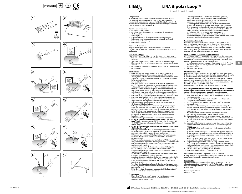









**70 W 55 W** 









 $\%$ 





## **LiNA Bipolar Loop™**

BL-160-E, BL-200-E, BL-240-E

#### **Uso previsto:**

El LiNA Bipolar LoopTM es un dispositivo electroquirúrgico bipolar de 5 mm indicado para extirpar el útero movilizado durante la histerectomía laparoscópica supracervical (subtotal) y la resección de miomas devastados subserosos pediculados. Diseñado para utilizarse con un generador electroquirúrgico.

#### **Posibles complicaciones:** • conversión a laparotomía;

- complicaciones electroquirúrgicas (p. ej. fallo de aislamiento,
	- electrocución); hemorragia:
- mal funcionamiento del dispositivo eléctrico implantable;
- lesión en el intestino delgado o grueso incluida la perforación;
- lesión en el tracto urinario;
- quemaduras térmicas.

#### **Población de pacientes:**

Mujeres de cualquier edad y peso que se vayan a someter a histerectomía laparoscópica supracervical o miomectomía subserosa pediculada.

- **<u>Contraindicaciones:</u><br>LiNA Bipolar Loop™ <b>NO** debe usarse en las situaciones siguientes: • Si el istmo uterino no se puede visualizar circularmente antes de la activación.
- Si el útero o el mioma está adherido a algún órgano adyacente. • Si la paciente tiene un mioma uterino grande posterior o en la pared
- cervical. • Extirpación de úteros mayores que el correspondiente a la semana 20 de gestación.

#### **Advertencias:**

- LiNA Bipolar LoopTM se suministra ESTERILIZADO mediante un proceso con óxido de etileno. Inspeccione detenidamente el embalaje para detectar cualquier daño antes de su uso. NO lo utilice si la barrera estéril presenta desperfectos. NO lo use una vez pasada la fecha de caducidad. • Para un SOLO uso.
- NO reutilice, reprocese o reesterilice el dispositivo LiNA Bipolar No redame, reprocese o reestermee er dispositivo ENW sipolar<br>Loop™. Cualquier reprocesamiento podría afectar al funcionamiento del dispositivo. La reutilización de dispositivos de un solo uso también puede aumentar el riesgo de contaminación cruzada. Los intentos de limpiar el dispositivo se traducen en el riesgo de fallos del mismo y/ o una obtención errónea de especímenes patológicos debido a la presencia del tejido residual en LiNA Bipolar Loop™
- NO utilice el dispositivo en presencia de gases o líquidos inflamables. • NO utilice LiNA Bipolar Loop™ si el asa está doblada, torcida, mal<br>formada o no se despliega completamente con el diseño romboide
- original cuando el mango está avanzado en su totalidad. • NO modifique el diseño romboide original ni el aislamiento del
- electrodo de LiNA Bipolar Loop™. • LiNA Bipolar Loop™ debe ser suficientemente grande como para pasar alrededor del cuerpo uterino o del mioma. A continuación,
- aplique el asa alrededor del cérvix o en la zona de origen del mioma. • Antes de activar el generador, compruebe siempre que la parte activa (la que no está aislada) del electrodo no está en contacto con ningún órgano que no sea el útero o el mioma (por ejemplo, intestinos o vasos).
- NO active LiNA Bipolar LoopTM si no puede ver el asa de corte. **• RETIRE el manipulador uterino antes de activar LiNA Bipolar LoopTM.** Utilice **solo** un manipulador uterino hecho de material NO **CONDUCTOR** (por ejemplo de plástico) cuando vaya a usar LINA **Bipolar Loop™**
- **• RETIRE el dispositivo intrauterino (DIU) del útero antes de activar**
- **el LiNA Bipolar Loop™.**<br>• LiNA Bipolar Loop™ NO debe utilizarse en pacientes en los que la<br>• vejiga no se pueda separar por completo en el segmento uterino anterior inferior debido al riesgo de lesión de la vejiga.
- $\cdot$  NO permita que el cable de LiÑA Bipolar Loop™ entre en contacto con la piel de la paciente o del cirujano durante la activación electroquirúrgica.
- NO ejerza una fuerza/carga excesiva al utilizar LiNA Bipolar Loop™ ya que podría dañarlo o provocar el estrangulamiento o seccionamiento mecánico del útero o del mioma, con el riesgo de que se produzca una hemorragia excesiva.
- Asegúrese de activar el electrodo antes de retraer LiNA Bipolar Loop<sup>TM</sup>. Si no se activa, podría producirse el seccionamiento mecánico del útero o del mioma, con el riesgo de que se produzca una hemorragia excesiva.
- No utilice LiNA Bipolar LoopTM para realizar cortes seriados del útero o mioma como alternativa a la fragmentación.
- Asegúrese de que la punta de cerámica esté completamente retraída en el eje/tubo antes de extraer el LiNA Bipolar LoopTM a través del trocar para evitar que la punta de cerámica quede atrapada en la tapa de la válvula.
- Tras el uso del dispositivo, se ha de eliminar tanto el producto como su embalaje de acuerdo a las normas del hospital, administrativas y/o del gobierno local.
- NO se debe activar si los cables no aislados del LiNA Bipolar Loop<sup>TM</sup> están en contacto con objetos metálicos.

**Precauciones:**<br>• El uso de LiNA Bipolar Loop™ requiere formación y experiencia adecuadas en cuanto a la realización de histerectomías laparoscópicas y miomectomías.

- Si no se siguen de forma estricta las instrucciones aplicables, el paciente, el médico o los asistentes podrían sufrir lesiones significativas, además de producirse un efecto adverso en el resultado de los procedimientos realizados.
- En caso de pacientes con dispositivos electrónicos implantados, deben tomarse precauciones especiales. El equipo perioperatorio debe consultar al equipo administrador del dispositivo implantado antes de proceder a la cirugía u otro procedimiento. Si LiNA Bipolar LoopTM está activo, se debe mantener a una distancia de 1 cm (0,5 pulgadas) del dispositivo electrónico implantado.
- Utilice cuidadosamente el LiNA Bipolar Loop™ con otras<br>herramientas afiladas, ya que el daño del aislamiento del cable puede provocar un mal funcionamiento del dispositivo.

#### **Descripción del producto:**

LiNA Bipolar Loop™ consta de un tubo exterior negro y de un tubo interior azul al que se une el mango del dispositivo. El asa romboide se sujeta al tubo interior y se hace avanzar sujetando la parte superior del tubo exterior negro mientras se empuja hacia delante el mango azul. Para retraer el asa, tire suavemente del mango azul con una mano mientras sujeta el tubo exterior negro con la otra.

**Especificaciones y configuración del generador:**<br>El LiNA Bipolar Loop™ es compatible con la mayoría de los generadores electroquirúrgicos con salida bipolar. Conecte el conector europeo a un cable bipolar estándar compatible con su generador. Conecte el cable bipolar a la toma de salida bipolar del generador.

- La configuración recomendada para el generador es de 55-70 vatios. Utilice la configuración más baja posible capaz de lograr el efecto quirúrgico deseado.
- Utilice un pedal bipolar.

#### **Instrucciones de uso:**

**Esta información sirve para LiNA Bipolar Loop™. No está pensada para** la demostración de técnicas ni procedimientos laparoscópicos. Consulte la literatura médica publicada y aceptada para conocer las técnicas adecuadas, las complicaciones y los riesgos antes de realizar cualquier procedimiento laparoscópico. Consulte en las instrucciones de uso proporcionadas por el fabricante del generador electroquirúrgico y del laparoscopio si existen contraindicaciones. Lea las instrucciones de uso antes de utilizar este dispositivo.

#### **Una vez ligados correctamente los ligamentos y los vasos uterinos, se puede proceder a extirpar el útero desde el cérvix o en la zona de origen del mioma, conforme a las siguientes instrucciones:** 1. Inspeccione detenidamente el embalaje para detectar cualquier

- daño antes de su uso. NO intente utilizar el dispositivo si la barrera estéril está dañada.
- 2. Conecte el LiNA Bipolar LoopTM a la salida bipolar del generador.
- Configure el generador a 55-70 vatios.<br>3. Introduzca cuidadosamente el LiNA Bipolar Loop™ a través del trocar de 5 mm.
- 4. **a.** Despliegue el electrodo (asa) haciendo avanzar el mango. El mango debe estar completamente avanzado y el asa desenrollada en su totalidad antes de colocar el asa alrededor del cuerpo uterino o del mioma. **b.** Use unas pinzas y el manipulador uterino para colocar el
- electrodo (asa) alrededor del cuerpo uterino o mioma. 5. Antes de activar el generador, compruebe siempre que la parte
- activa (la que no está aislada) del electrodo no está en contacto con ningún órgano (por ejemplo, intestinos o vasos) que no sea el útero o el mioma.
- 6. **a.** Apriete cuidadosamente el asa alrededor de la parte inferior del cuerpo uterino (por encima del cérvix) o en la zona de origen del mioma.

**b. EXTRAIGA** el manipulador uterino y afloje un poco la tensión del asa.

- 7. **a.** Active el LiNA Bipolar LoopTM pisando el pedal bipolar. Asegúrese de que haya energía bipolar antes de seccionar el útero o el mioma. La retracción inmediata del asa puede provocar un corte mecánico involuntario.
- **b.** Después de extraer el útero o el mioma, no active los electrodos para manipular o dividir el útero o el mioma.
- 8. Después de extirpar el útero del cérvix, asegúrese de que está coagulada la parte proximal del conducto endocervical, que puede contener células del endometrio, y compruebe que se ha coagulado toda hemorragia o exudado del muñón cervical. Extraiga el LiNA Bipolar Loop™ a través del trocar.
- 10. Deseche el LiNA Bipolar LoopTM después de su uso.

Proporcione instrucciones a la paciente por si se producen complicaciones, incluidas hemorragias intraabdominales que, en casos poco frecuentes, pueden producir exanguinación.

#### **Notificación:**

Cualquier incidente grave que se haya producido en relación con el dispositivo deberá ser comunicado a LiNA Medical ApS y a la autoridad reguladora competente del país en el que esté establecido el usuario o el paciente.

País de origen: Polonia. Marcado CF 2012



**es**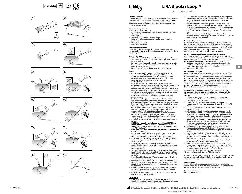















 $\%$ 









## **LiNA Bipolar Loop™**

BL-160-E, BL-200-E, BL-240-E

#### **Utilização prevista:**

O LiNA Bipolar Loop™ é um dispositivo eletrocirúrgico bipolar de 5 mm para remoção do útero mobilizado durante histerectomia (subtotal) supracervical laparoscópica e ressecção de miomas subserosos pediculados desvascularizados. Destinado a ser utilizado com uma unidade de eletrocirurgia.

#### **Potenciais complicações:** • conversão para laparotomia;

- complicações eletrocirúrgicas (por exemplo, falha no isolamento,
- eletrocussão); hemorragia:
- avaria do dispositivo elétrico implantável; • lesão no intestino delgado ou no intestino grosso incluindo
- perfuração; • lesão no trato urinário;
- queimaduras térmicas.

#### **População de pacientes:**

Do sexo feminino, de qualquer idade e peso, submetidas a uma histerectomia supracervical laparoscópica ou miomectomia em mioma subseroso pediculado.

## **Contraindicações:**

- O LiNA Bipolar LoopTM **NÃO** deve ser utilizado nas seguintes situações: • Se o istmo uterino não puder ser visualizado circunferencialmente ser un ser visualizado circunferencialmente antes da ativação.
- Se o útero ou o mioma estiver aderido a qualquer órgão adjacente. • Se a paciente apresentar miomas volumosos na parede do colo do
- útero ou uterina posterior. • Remoção do útero maior do que a 20.ª semana gestacional.

- **Avisos:**<br>• O LiNA Bipolar Loop™ é fornecido ESTERILIZADO utilizando um processo de óxido de etileno. Verifique cuidadosamente se a embalagem apresenta danos antes de utilizar. NÃO utilize o dispositivo se a barreira estéril estiver danificada. NÃO utilize o dispositivo depois de expirado o prazo de validade. **Produto DESCARTÁVEL.**
- NÃO reutilize, reprocesse ou reesterilize o LiNA Bipolar LoopTM. Qualquer tipo de reprocessamento pode prejudicar o funcionam do dispositivo. A reutilização de dispositivos descartáveis pode também aumentar o risco de contaminação cruzada. As tentativas de limpeza do dispositivo resultam num risco de avaria do dispositivo e/ ou colheita incorreta de amostras para patologia devido à presença de tecidos residuais no LiNA Bipolar Loop™.
- NÃO utilize o dispositivo na presença de gases inflamáveis ou líquidos inflamáveis.
- NÃO utilize o LiNA Bipolar LoopTM se estiver dobrado, torcido, deformado ou se não desdobrar completamente, de acordo com o desenho romboide original, quando a pega estiver totalmente saída.
- NÃO modifique o desenho romboide original nem o isolamento do elétrodo do LiNA Bipolar Loop™. • O LiNA Bipolar LoopTM deve ser suficientemente grande para passar
- em redor do corpo do útero ou do mioma. Em seguida, aplique a ansa em redor do colo do útero ou da base do mioma.
- Antes de ativar a unidade de eletrocirurgia, certifique-se sempre de que a parte ativa (ou seja, não isolada) do elétrodo não está em contacto com outro órgão que não o útero ou o mioma (por exemplo, intestino ou vaso sanguíneo).
- NÃO ative o LiNA Bipolar Loop<sup>TM</sup> se não for possível visualizar a ansa de corte.
- **• REMOVA o manipulador uterino antes de ativar o LiNA Bipolar Loop™. <u>Apenas</u> deverá ser utilizado um manipulador uterino**<br>fabricado com material NÃO CONDUTOR (por exemplo, plástico) com o LiNA Bipolar Loop™
- **• REMOVA o dispositivo intrauterino (DIU) do útero antes de ativar**
- **o LiNA Bipolar Loop™.**<br>• O LiNA Bipolar Loop™ NÃO deve ser usado em pacientes em que a bexiga não pode ser completamente dissociada do segmento inferior uterino anterior, devido ao risco de lesões na bexiga.
- NÃO permita que o cabo do LiNA Bipolar Loop™ entre em contacto com a pele da paciente ou do cirurgião durante a ativação eletrocirúrgica. • NÃO aplique força/carga excessiva no LiNA Bipolar Loop™. Tal
- poderá danificar o produto ou resultar em estrangulamento e corte mecânico em secções do útero ou do mioma, podendo causar uma hemorragia excessiva.
- Tenha o cuidado de ativar o elétrodo antes de retrair o LiNA Bipolar LoopTM. Se este não for ativado, poderá resultar em corte mecânico em secções do útero ou do mioma, podendo causar uma hemorragia excessiva.
- Não utilize o LiNA Bipolar LoopTM para corte do útero ou do mioma como alternativa à morcelação.
- Certifique-se de que a ponta de cerâmica está totalmente retraída para dentro da haste/do tubo antes de extrair o LiNA Bipolar Loop™ através do trocarte, para evitar que a ponta de cerâmica fique presa na aba da válvula.
- Depois da utilização, elimine o produto e a respetiva embalagem, de acordo com as políticas hospitalares, administrativas e/ou do governo local.
- NÃO ative se os fios não isolados do LiNA Bipolar LoopTM estiverem em contacto com objetos de metal.

#### **Precauções:**

<u>• Cauçoes.</u><br>• A utilização do LiNA Bipolar Loop™ requer uma formação e experiência adequadas relativamente à execução de procedimentos de histerectomia e miomectomia laparoscópica.

- Se as instruções aplicáveis não forem cumpridas na íntegra, podem ocorrer ferimentos significativos no paciente, médico ou assistentes, bem como efeitos adversos no resultado dos procedimentos realizados.
- Devem ser tomadas precauções quando a paciente possui um dispositivo eletrónico implantado (DEI). A equipa perioperatória deve consultar a equipa que gere o dispositivo implantado antes da cirurgia e conforme necessário. Quando o LiNA Bipolar Loop™ está ativado, este deve ser mantido longe do DEI mais de ½ polegada (1 cm).
- Utilize cuidadosamente o LiNA Bipolar Loop™ com outras ferramentas afiadas, uma vez que danos no isolamento do fio podem resultar na avaria do dispositivo.

#### **Descrição do produto:**

O LiNA Bipolar LoopTM consiste num tubo exterior preto e num tubo interior azul ao qual está presa a pega do dispositivo. A ansa romboide está presa ao tubo interior. Para avançá-la, segure na parte superior do tubo exterior preto, empurrando simultaneamente a pega azul para a frente. Para retrair a ansa, puxe cuidadosamente a pega azul com uma mão enquanto segura o tubo exterior preto com a outra.

**Especificações e definições da unidade de eletrocirurgia:**<br>O LiNA Bipolar Loop™ é compatível com a maioria das unidades de eletrocirurgia com saída bipolar. ligue um conector europeu a um cabo bipolar padrão que se adapte à sua unidade de eletrocirurgia. Ligue o cabo bipolar à saída bipolar na unidade de eletrocirurgia.

**pt**

- A definição recomendada para a unidade de eletrocirurgia é de 55-70 Watts. Utilize as definições mais baixas possíveis, mas com
- capacidade para obter o efeito cirúrgico desejado. • Utilize um pedal bipolar.

#### **Instruções de utilização:**

Estas informações destinam-se à utilização do LiNA Bipolar LoopTM. As mesmas não se destinam a demonstrar técnicas ou procedimentos laparoscópicos. Antes de proceder a um procedimento laparoscópico, consulte documentação médica publicada e certificada para obter informações sobre as técnicas adequadas, as complicações e os perigos inerentes. Para obter informações sobre contraindicações, consulte as instruções de utilização fornecidas pelo fabricante da unidade de eletrocirurgia e/ou do laparoscópio a ser utilizado. Leia as instruções de utilização antes de utilizar este dispositivo!

#### **Após os vasos sanguíneos e ligamentos uterinos terem sido corretamente ligados, o útero poderá ser removido do colo do útero ou da base do mioma, seguindo as instruções indicadas abaixo:** 1. Verifique cuidadosamente se a embalagem apresenta danos

- antes de utilizar. NÃO tente utilizar o dispositivo se a barreira de esterilização estiver danificada. 2. Ligue o LiNA Bipolar LoopTM à saída bipolar da unidade de
- eletrocirurgia. Configure a unidade de eletrocirurgia entre 55 a 70 **Watts**
- 3. Introduza cuidadosamente o LiNA Bipolar LoopTM através de um trocarte de 5 mm.
- 4. **a.** Desdobre o elétrodo (ansa) fazendo avançar a pega. Antes de colocar a ansa em redor do corpo do útero ou do mioma, a pega deve estar completamente saída e a ansa totalmente desdobrada. **b.** Utilize pinca(s) e o manipulador uterino para ajudar a colocar o elétrodo (ansa) em redor do corpo do útero ou do mioma.
- 5. Antes de ativar a unidade de eletrocirurgia, certifique-se sempre de que a parte ativa (ou seja, não isolada) do elétrodo não está em contacto com outro órgão (por exemplo, intestino ou vaso sanguíneo) que não o útero ou o mioma.
- 6. **a.** Aperte cuidadosamente a ansa em redor da parte inferior do corpo do útero (acima do colo do útero) ou da base do mioma. **b. REMOVA** o manipulador uterino e liberte ligeiramente a tensão da ansa.
- 7. **a.** Ative o LiNA Bipolar LoopTM premindo o pedal bipolar. Tenha o cuidado de colocar a energia bipolar em espera antes de seccionar o útero ou o mioma. A retração imediata da ansa pode infligir um corte mecânico indesejável. **b.** Após a remoção do útero ou do mioma, não ative os elétrodos
- para manipular ou dividir o útero ou o mioma. 8. Após a remoção do útero do colo do útero, certifique-se de que
- a parte proximal do canal endocervical, que poderá conter células do endométrio, está coagulada e de que qualquer hemorragia ou ressumação no coto do colo do útero está coagulada. 9. Remova o LiNA Bipolar LoopTM através do trocarte.
- 10. Após a utilização, elimine o LiNA Bipolar Loop™.

Forneça às pacientes instruções de acompanhamento na eventualidade de ocorrerem complicações, incluindo hemorragia intra-abdominal o que, em casos raros, poderá levar à exsanguinação.

### **Comunicação:**

Qualquer incidente grave que ocorra com o dispositivo deverá ser comunicado à LiNA Medical ApS e à autoridade reguladora competente do país de residência do utilizador e/ou do paciente.

País de origem: Polónia. Marcação CE de 2012.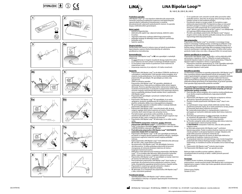











 $\%$ 











## **LiNA Bipolar Loop™**

BL-160-E, BL-200-E, BL-240-E

### **Predvidena uporaba:**

LiNA Bipolar LoopTM je 5-mm bipolarni elektrokirurški pripomoček, namenjen amputaciji mobilizirane maternice med laparoskopsko supracervikalno (subtotalno) histerektomijo in resekcijo devaskulariziranih suberoznih pedunkularnih miomov. Za uporabo skupaj z elektrokirurškim generatorjem.

#### **Možni zapleti:** • prehod na laparotomijo:

- elektrokirurški zapleti (npr. odpoved izolacije, električni udar);
- krvavitev:
- nepravilno delovanje vsadnega električnega pripomočka;
- poškodba tankega ali debelega črevesa vključno s perforacijo; • poškodba sečil;
- toplotne opekline.

#### **Skupine bolnikov:**

**Zenske katere koli starosti in telesne mase, pri katerih je predvidena** laparoskopska supracervikalna histerektomija ali suberozna pendikularna miomektomija.

### **Kontraindikacije:**

Pripomoček LiNA Bipolar LoopTM se **NE** sme uporabljati v naslednjih okoliščinah:

- Če pred aktivacijo ni mogoče vizualizirati obsega maternične ožine.
- Če je maternica ali miom pritrjen na katerega od bližnjih organov. Če ima bolnica večje miome na posteriorni strani maternice ali
- materničnem vratu. • Amputacija maternice, ki je večja kot v 20. tednu nosečnosti.

- **Opozorila:**<br>• Pripomoček LiNA Bipolar Loop™ je ob dobavi STERILEN; steriliziran je s postopkom z etilenoksidom. Pred uporabo skrbno preglejte, ali je ovojnina morda poškodovana. Če je sterilna ovojnina poškodovana, pripomočka NE uporabljajte. NE uporabljajte po izteku roka uporabnosti.
- SAMO za enkratno uporabo. Pripomočka LiNA Bipolar LoopTM NE uporabite, obdelajte ali sterilizirajte znova. Vsaka ponovna obdelava lahko okvari njegovo delovanje. Ponovna uporaba pripomočkov tudi poveča tveganje za navzkrižno kontaminacijo. Če poskušate ta pripomoček očistiti, lahko ustvarite tveganje nepravilnega delovanja in/ali napačnega odvzema vzorca za patološke preiskave zaradi ostankov tkiva v pripomočku LiNA Bipolar LoopTM.
- Pripomočka NE uporabljajte v prisotnosti vnetljivih plinov ali vnetljivih tekočin.
- Pripomočka LiNA Bipolar Loop™ NE uporabljajte, če je zanka upognjena, zasukana, preoblikovana ali ni popolnoma razvita v pravilno romboidno obliko, ko je ročaj popolnoma iztegnjen. • NE spreminjajte originalne romboidne oblike in izolacije elektrode
- pripomočka LiNA Bipolar Loop™. • Pripomoček LiNA Bipolar LoopTM mora biti dovolj velik, da ga je
- mogoče napeljati okoli telesa maternice ali mioma. Potem zanko nagoče naperjali okoli teresa materniče ali mioma. • Pred aktiviranjem generatorja vedno poskrbite, da aktivni (tj.
- neizolirani) del elektrode ni v stiku z nobenim drugim organom (npr. črevesjem ali žilo), razen z maternico ali miomom.
- Pripomočka LiNA Bipolar LoopTM NE aktivirajte, če ne vidite rezalne zanke. **• ODSTRANITE manipulator maternice, preden aktivirate pripomoček LiNA Bipolar Loop™.** S pripomočkom LiNA Bipolar
- Loop™ je dovoljeno uporabljati <u>**samo**</u> manipulator maternice, izdelan<br>iz NEPREVODNEGA materiala (npr. plastike). **• Pred aktivacijo pripomočka LiNA Bipolar LoopTM ODSTRANITE**
- **maternični vložek (IUV) iz maternice.**  • Pripomoček LiNA Bipolar LoopTM se NE sme uporabljati pri bolnicah,
- pri katerih ni mogoče opraviti popolne disekcije mehurja v spodnjem anteriornem segmentu maternice zaradi tveganja poškodbe mehurja. • Kabel pripomočka LiNA Bipolar Loop™ med elektrokirurško aktivacijo
- NE sme biti v stiku s kožo bolnice ali kirurga. • Na pripomočku LiNA Bipolar LoopTM NE uporabljajte čezmerne
- sile/obremenitve. To lahko poškoduje pripomoček ali povzroči strangulacijo ali mehansko disekcijo maternice ali mioma s tveganjem čezmerne krvavitve.
- Elektrodo je treba aktivirati pred retrakcijo pripomočka LiNA Bipolar LoopTM. Če ne izvedete take aktivacije, lahko povzročite mehansko delitev maternice ali mioma s tveganjem čezmerne krvavitve. Pripomočka LiNA Bipolar Loop™ ne uporabljajte za rezanje maternice
- ali miomov kot alternative za razkosanje. Pred izvlečenjem pripomočka LiNA Bipolar LoopTM skozi troakar se
- prepričajte, da je keramična konica popolnoma uvlečena v kanal/ cevko, da preprečite zagozdenje keramične konice v loputki ventila. • Pripomoček in ovojnino po uporabi odstranite v skladu z
- bolnišničnimi postopki ali veljavnimi predpisi.<br>• NE aktivirajte, če so neizolirane žice pripomočka LiNA Bipolar Loop™
- v stiku s kovinskimi predmeti.

#### **Previdnostni ukrepi:**

• Uporaba pripomočka LiNA Bipolar Loop™ zahteva zadostno usposabljanje in izkušnje z izvajanjem laparoskopske histerektomije in miomektomije.

- Če ne upoštevate vseh ustreznih navodil, lahko povzročite veliko poškodbo bolnice, zdravnika ali drugega zdravstvenega osebja in neželeni učinek na izid izvedenih posegov.
- Previdnostni ukrepi se morajo izvajati, če ima bolnica vsajen elektronski pripomoček (IED). Perioperativna ekipa se mora pred kirurškim posegom in kadar je potrebno posvetovati z ekipo, ki obravnava vsadni pripomoček. Ko se pripomoček LiNA Bipolar LoopTM aktivira, ga je treba držati več kot ½ palca (1 cm) oddaljenega
- od vsajenega elektronskega pripomočka (IED).<br>• Previdno uporabljajte pripomoček LiNA Bipolar Loop™ skupaj z drugimi ostrimi orodji, daj lahko poškodba izolacije žice privede do nepravilnega delovanja pripomočka.

**<u>Opis pripomočka:</u>**<br>Pripomoček LiNA Bipolar Loop™ je sestavljen iz zunanjega črnega kanala in notranjega modrega kanala, na katerega je priključen ročaj pripomočka. Na notranji kanal je priključena romboidna zanka, ki se potiska naprej z držanjem zgornjega dela zunanjega črnega kanala in sočasnim potiskanjem modrega ročaja naprej. Če želite izvleči zanko, povlecite moder ročaj z eno roko, z drugo pa držite črni zunanji kanal.

**Splošne specifikacije in nastavitve:**<br>Pripomoček LiNA Bipolar Loop™ je združljiv z večino elektrokirurških<br>generatorjev z bipolarno vtičnico. Priključite evropski priključek na standardni bipolarni kabel, ki ustreza vašemu generatorju. Priključite bipolarni kabel na bipolarno vtičnico na generatorju.

- Priporočena nastavitev generatorja je 55–70 W. Uporabite najmanjšo nastavitev, s katero je mogoče doseči želeni kirurški učinek.
- Uporabite bipolarni nožni pedal.

**Navodila za uporabo:**<br>Te informacije so priložene za uporabo pripomočka LiNA Bipolar Loop™. Niso namenjene prikazu laparoskopskih tehnik ali postopkov. Pred vsakim laparoskopskim posegom se pozanimajte o ustreznih tehnikah, zapletih in tveganjih v objavljeni in priznani medicinski literaturi. Glede kontraindikacij upoštevajte navodila proizvajalca za uporabo elektrokirurškega generatorja in/ali laparoskopa, ki ga boste uporabili. Pred uporabo tega pripomočka preberite navodila!

#### **Po pravilni ligaturi materničnih ligamentov in žil, lahko maternico amputirate od materničnega vratu ali miom od peclja, pri tem pa upoštevajte spodnja navodila:**

- 1. Pred uporabo skrbno preglejte, ali je ovojnina morda poškodovana. Če je sterilna ovojnina poškodovana, tega pripomočkaNE uporabljajte.
- 2. Pripomoček LiNA Bipolar LoopTM priključite na bipolarno vtičnico generatorja. Nastavite generator na 55–70 vatov.
- 3. Previdno uvedite pripomoček LiNA Bipolar Loop™ skozi 5-mm troakar.
- 4. **a.** S potiskanjem ročaja naprej odvijte elektrodo (zanko). Ročaj popolnoma potisnite naprej, da se zanka popolnoma razvije, preden jo namestite okoli telesa maternice ali mioma. **b.** S prijemalko/prijemalkami in manipulatorjem maternice si pomagajte pri namestitvi elektrode (zanke) okoli telesa maternice ali mioma.
- 5. Pred aktivacijo generatorja se vedno prepričajte, da aktiven (tj. neizoliran) del elektrode ni v stiku z nobenim organom (npr. črevesom ali žilo), razen z maternico ali miomom.
- 6. **a.** Previdno zategnite zanko okoli spodnjega dela telesa maternice (nad materničnim vratom) ali peclja mioma. **b. ODSTRANITE** manipulator maternice, tako da rahlo sprostite napetost zanke.
- 7. **a.** Aktivirajte pripomoček LiNA Bipolar LoopTM s pritiskom bipolarnega pedala. Preden izvedete disekcijo maternice ali mioma, morate počakati na dovajanje bipolarne energije. Takojšnji umik zanke lahko povzroči nenameren mehanski rez. **b.** Po amputaciji maternice ali mioma ne aktivirajte elektrod za premikanje ali razdelitev maternice ali mioma.
- 8. Po amputaciji maternice od materničnega vratu morate koagulirati proksimalni del endocervikalnega kanala, ki lahko vsebuje celice endometrija, in morebitno krvavitev ali izcedek iz krna materničnega vratu.
- 9. Pripomoček LiNA Bipolar LoopTM izvlecite skozi troakar. 10. Pripomoček LiNA Bipolar Loop™ po uporabi zavrzite.

Bolnicam dajte navodila za primer zapletov, vključno z intraabdominalno krvavitvijo, ki lahko v redkih primerih povzroči izkrvavitev.

#### **Poročanje:**

O vsakem resnem incidentu, do katerega pride v povezavi s pripomočkom, morate poročati družbi LiNA Medical ApS in pristojnemu regulativnemu organu v državi, kjer imata uporabnik oziroma bolnica stalno prebivališče.

Država izvora: Poljska. Oznaka CE 2012.

**sl**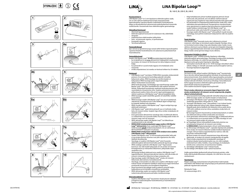











 $\%$ 













## **LiNA Bipolar Loop™**

BL-160-E, BL-200-E, BL-240-E

#### **Kasutusotstarve**

LiNA Bipolar LoopTM on 5 mm bipolaarne elektrokirurgiline seade, mis on ette nähtud mobiliseeritud emaka amputatsiooniks laparoskoopilise supratservikaalse (subtotaalse) hüsterektoomia käigus ja devaskuleeritud subseroossete pedunkuleeritud müoomide resektsiooniks. Kasutamiseks koos elektrokirurgilise generaatoriga.

### **Võimalikud tüsistused**

- Üleminek laparotoomiale • Elektrokirurgilised tüsistused (nt isolatsiooni rike, elektrilöök)
- Verejooks • Implanteeritava elektriseadme talitlushäire
- Peen- või jämesoole vigastus, sh perforatsioon
- Kuseteede vigastus
- Termilised põletused

## **Patsiendirühmad**

Igas vanuses ja iga kehamassiga naised, kellel tehakse laparoskoopiline supratservikaalne hüsterektoomia või subseroosne pedunkuleeritud müomektoomia.

### **Vastunäidustused**

- Seadet LiNA Bipolar LoopTM **EI VÕI** kasutada järgmistel juhtudel: • kui emakakitsust ei saa enne aktiveerimist ringikujuliselt visualiseerida;
- kui emakas või müoom on kinnitunud mis tahes külgneva elundi
- külge; • kui patsiendil on suured emaka tagaosa või emakakaela seina
- müoomid; • emaka amputatsioon, kui rasedus on kestnud rohkem kui 20 nädalat.

#### **Hoiatused**

- LINA Bipolar Loop™ tarnitakse STERIILSENA, kasutades etüleenoksiidi protsessi. Enne kasutamist kontrollige pakendit võimalike kahjustuste suhtes. ÄRGE kasutage, kui steriilne barjäär on kahjustatud. ÄRGE kasutage pärast aegumiskuupäeva.
- AINULT ühekordseks kasutamiseks. ÄRGE korduskasutage, taastöödelge ega resteriliseerige seadet LiNA Bipolar LoopTM. Mis tahes taastöötlemine võib seadme toimimist häirida. Ühekordselt kasutatavate seadmete korduskasutamine võib suurendada ka ristsaastumise ohtu. Seadme puhastamise katsed põhjustavad seadme rikete ohtu ja/või vigast patoloogiaproovi võtmist seadmesse LiNA Bipolar LoopTM jäänud koejääkide tõttu.
- ÄRGE kasutage seadet tuleohtlike gaaside või tuleohtlike vedelike juuresolekul. • ÄRGE kasutage seadet LiNA Bipolar LoopTM, kui see on paindunud,
- väändunud, moondunud või ei võta täielikult algset rombjat kuju, kui käepide täielikult ette lükatakse.
- ÄRGE muutke seadme LiNA Bipolar Loop™ algset rombjat kuju ega elektroodi isolatsiooni.
- LiNA Bipolar Loop™ peab olema piisavalt suur, et mahtuda emaka keha või müoomi ümber. Seejärel viige silmus ümber emakakaela või müoomi varre.
- Enne generaatori aktiveerimist veenduge alati, et elektroodi aktiivne (s.t isoleerimata) osa ei puutuks kokku muu elundiga peale emaka või müoomi (nagu sool või veresoon).
- ÄRGE aktiveerige seadet LiNA Bipolar Loop™, kui lõikesilmuse visualiseerimine ei ole võimalik. **• EEMALDAGE emakamanipulaator enne seadme LiNA Bipolar**
- Loop<sup>™</sup> aktiveerimist. Koos seadmega LiNA Bipolar Loop<sup>™</sup> tohib kasutada **ainult** emakamanipulaatorit, mis on valmistatud MITTEJUHTIVAST materjalist (nt plastist). **• EEMALDAGE emakasisene vahend (IUD) emakast enne seadme**
- **LiNA Bipolar LoopTM aktiveerimist.**
- Seadet LiNA Bipolar LoopTM EI VÕI kasutada patsientidel, kelle põit ei saa emaka alumises eesmises osas põie vigastamise ohu tõttu täielikult dissekteerida.
- Veenduge, et seadme LiNA Bipolar Loop<sup>TM</sup> juhe El puutuks elektrokirurgilisel aktiveerimisel kokku patsiendi ega kirurgi nahaga.
- ÄRGE avaldage seadmele LiNA Bipolar LoopTM liigset jõudu/ koormust. See võib toodet kahjustada või viia emaka või müoomi kinnipigistamise ja mehaanilise lõikamiseni, põhjustades liigse verejooksu ohu.
- Aktiveerige kindlasti elektrood enne seadme LiNA Bipolar Loop™ tagasitõmbamist. Aktiveerimata jätmise tulemus võib olla emaka või müoomi mehaaniline lõikamine ja liigse verejooksu oht. • Ärge kasutage seadet LiNA Bipolar LoopTM emaka või müoomi
- lõikamiseks alternatiivina mortsellatsioonile. • Veenduge, et keraamiline ots oleks enne seadme LiNA Bipolar Loop<sup>TM</sup>
- trokaari kaudu eemaldamist täielikult varde/torusse tagasi tõmmatud ennetamaks keraamilise otsa kinnijäämist klapihõlma. • Pärast kasutamist kõrvaldage toode ja pakend vastavalt haigla-,
- haldusüksuse ja/või kohaliku omavalitsuse eeskirjadele. • ÄRGE aktiveerige seadet, kui seadme LiNA Bipolar Loop™
- isoleerimata juhtmed puutuvad kokku metallesemetega.

## **Ettevaatusabinõud**

<u>• Seadme LiNA Bipolar Loop™ kasutamine nõuab piisavat väljaõpet</u> ja kogemusi laparoskoopilise hüsterektoomia ja müomektoomia tegemise vallas.

- Kõigi kohaldatavate juhiste hoolikalt järgimata jätmisel võivad tulemuseks olla patsiendi, arsti või abiliste märkimisväärsed vigastused ning negatiivne mõju tehtud protseduuride tulemustele.
- Kui patsiendile on implanteeritud elektrooniline seade (IED), tuleb rakendada ettevaatusabinõusid. Perioperatiivne meeskond peab enne operatsiooni ja vajaduse järgi konsulteerima implanteeritud seadet haldava meeskonnaga. Kui LiNA Bipolar Loop™ on aktiveeritud, tuleb seda hoida IED-st kaugemal kui ½ tolli (1 cm).
- Kasutage seadet LiNA Bipolar LoopTM ettevaatlikult muude teravate esemetega, kuna juhtme isolatsiooni kahjustamine võib viia seadme rikkeni.

### **Toote kirjeldus**

LiNA Bipolar LoopTM koosneb musta värvi välistorust ja sinisest sisetorust, mille külge on kinnitatud seadme käepide. Rombjas silmus on kinnitatud sisetoru külge ning seda lükatakse edasi, hoides musta välistoru ülemisest osast ja lükates samal ajal sinist käepidet ettepoole. Silmuse tagasitõmbamiseks tõmmake sinist käepidet ettevaatlikult ühe käega, hoides samal ajal teise käega musta välistoru.

#### **Generaatori kirjeldus ja sätted**

LiNA Bipolar LoopTM ühildub enamiku bipolaarse väljundiga elektrokirurgiliste generaatoritega. Ühendage Euroopa pistik standardse bipolaarse juhtmega, mis sobib teie generaatoriga. Ühendage bipolaarne juhe generaatori bipolaarse väljundiga.

- Generaatori soovituslik säte on 55–70 W. Kasutage võimalikult väikesi sätteid, millega on võimalik saavutada soovitud kirurgiline tulemus.
- Kasutage bipolaarset jalgpedaali.

**et**

### **Kasutusjuhised**

**See teave on ette nähtud seadme LiNA Bipolar Loop™ kasutamiseks.** See ei ole ette nähtud laparoskoopiliste tehnikate või protseduuride demonstreerimiseks. Enne ükskõik millise laparoskoopilise protseduuri tegemist tutvuge avaldatud ja tunnustatud meditsiinilises kirjanduses toodud sobivate tehnikate, tüsistuste ja ohtudega. Vastunäidustuste kohta lugege kasutatava elektrokirurgilise generaatori ja/või laparoskoobi tootja kasutusjuhendist. Enne seadme kasutamist lugege kasutusjuhendit!

#### **Pärast emaka sidemete ja veresoonte õigesti ligeerimist võib emaka emakakaelast või müoomi varrest amputeerida, järgides allpool esitatud juhiseid.**

- 1. Enne kasutamist kontrollige pakendit võimalike kahjustuste suhtes. ÄRGE kasutage seadet, kui steriilne barjäär on kahjustatud. 2. Ühendage LiNA Bipolar Loop™ generaatori bipolaarse väljundiga.
- Seadistage generaatori võimsuseks 55–70 W. 3. Sisestage LiNA Bipolar LoopTM ettevaatlikult 5 mm trokaari kaudu.
- 4. **a.** Voltige elektrood (silmus) lahti, lükates käepidet ettepoole. Käepide peab olema täielikult ette lükatud ja silmus peab olema 100% lahti volditud, enne kui silmus asetatakse emaka keha või müoomi ümber.
- **b.** Kasutage haaratsit (haaratseid) ja emakamanipulaatorit, et aidata viia elektrood (silmus) ümber emaka keha või müoomi.
- 5. Enne generaatori aktiveerimist veenduge alati, et elektroodi aktiivne (s.t isoleerimata) osa ei puutuks kokku mis tahes elundiga (nt sool või veresoon) peale emaka või müoomi.
- 6. **a.** Pinguldage silmust ettevaatlikult emaka keha alumise osa (emakakaelast kõrgemal) või müoomi varre ümber.
- **b. EEMALDAGE** emakamanipulaator silmust veidi lõdvendades. 7. **a.** Aktiveerige LiNA Bipolar LoopTM, vajutades bipolaarsele pedaalile.
- Enne emaka või müoomi lõikamist oodake kindlasti bipolaarset energiat. Silmuse kohese tagasitõmbamise tulemus võib olla soovimatu mehaaniline lõige.
- **b.** Pärast emaka või müoomi amputatsiooni ärge aktiveerige elektroode, et emakat või müoomi manipuleerida või jagada. 8. Pärast emaka amputeerimist emakakaelalt veenduge, et endotservikaalse kanali proksimaalne osa, mis võib sisaldada
- endomeetriumi rakke, hüübiks, ning veenduge, et emakakaela köndil esinev veritsemine või immitsemine hüübiks. 9. Eemaldage LiNA Bipolar Loop™ trokaari kaudu.
- 10. Kõrvaldage LiNA Bipolar LoopTM pärast kasutamist.

Andke patsientidele järelkontrolli juhised tüsistuste puhuks, mille hulka võib kuuluda kõhusisene verejooks, mis võib harva viia suure verekaotuseni.

### **Teavitamine**

Kõigist seadmega seotud tõsistest ohujuhtumitest tuleb teatada ettevõttele LiNA Medical ApS ning kasutaja ja/või patsiendi asukohariigi pädevale reguleerivale asutusele.

Päritoluriik: Poola. CE-vastavusmärgis 2012.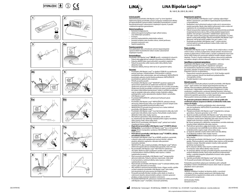























### **Určené použití:**

Zdravotnický prostředek LiNA Bipolar LoopTM je 5mm bipolární elektrochirurgický prostředek určený k amputaci mobilizované dělohy při laparoskopické supracervikální (subtotální) hysterektomii a resekci devaskularizovaných subserózních stopkatých myomů. K použití s elektrochirurgickým generátorem.

#### **Možné komplikace:** • konverze na laparotomii;

- elektrochirurgické komplikace (např. selhání izolace, úraz elektrickým proudem);
- krvácení;
- porucha implantabilního elektrického zařízení; • poranění tenkého nebo tlustého střeva, včetně perforace;
- poranění močových cest;
- tepelné popáleniny.

## **Populace pacientů:**

Žena jakéhokoli věku a hmotnosti určená k laparoskopické supracervikální hysterektomii nebo k resekci subserózních stopkatých myomů.

#### **Kontraindikace:**

Prostředek LiNA Bipolar LoopTM **NELZE** použít v následujících situacích: • Pokud nelze před aktivací zobrazit cirkumferenčně děložní úžinu.

- Pokud je děloha nebo myom přirostlý k sousedním orgánům.
- Pokud má pacientka velké myomy zadní stěny dělohy nebo
- děložního hrdla. • Amputace dělohy, která je větší než ve 20. gestačním týdnu.

#### **Varování:**

- Prostředek LiNA Bipolar Loop™ se dodává STERILNÍ a je sterilizován pomocí postupu s ethylenoxidem. Před použitím si pečlivě prohlédněte obal a zkontrolujte, zda není poškozený. NEPOUŽÍVEJTE prostředek, pokud je sterilní bariéra poškozená. NEPOUŽÍVEJTE prostředek po uplynutí data exspirace. • POUZE pro jedno použití.
- Prostředek LiNA Bipolar LoopTM NESMÍ BÝT používán opakovaně, zpracováván opakovaně ani opakovaně sterilizován. Jakékoliv opakované zpracování může mít nepříznivý vliv na funkci prostředku. Opakované použití prostředků určených pro jedno použití může vést ke zvýšení rizika křížové kontaminace. Snahy o vyčištění prostředku mají za následek riziko jeho selhání a/nebo chybného odběru patologického vzorku způsobeného zbytkem tkáně v prostředku LiNA Bipolar LoopTM.
- Prostředek NEPOUŽÍVEJTE v přítomnosti hořlavých plynů nebo kapalin.
- Prostředek LiNA Bipolar LoopTM NEPOUŽÍVEJTE, pokud je ohnutý, zkroucený, deformovaný nebo se po úplném vysunutí rukojeti zcela nerozloží do původního kosočtvercového tvaru.
- NEMODIFIKUJTE původní kosočtvercový tvar a izolaci elektrod prostředku LiNA Bipolar LoopTM.
- Prostředek LiNA Bipolar Loop™ musí být dostatečně velký, aby mohl projít kolem těla dělohy nebo myomu. Poté přiložte smyčku kolem děložního hrdla nebo stopky myomu.
- Před aktivací generátoru vždy zkontrolujte, zda se aktivní (tj. neizolovaná) část elektrody nedotýká jiného orgánu než dělohy nebo myomu (např. střeva nebo cévy).
- NEAKTIVUJTE prostředek LiNA Bipolar Loop™, pokud není možné vizualizovat řeznou smyčku.
- **• Před aktivací prostředku LiNA Bipolar LoopTM VYJMĚTE děložní manipulátor.** S prostředkem LiNA Bipolar Loop™ by se měl používat **pouze** děložní manipulátor vyrobený z NEVODIVÉHO materiálu (např. plastu).
- **• Před aktivací prostředku LiNA Bipolar LoopTM VYJMĚTE z dělohy nitroděložní tělísko (IUD).**
- Prostředek LiNA Bipolar LoopTM by se NEMĚL používat u pacientek, u kterých nelze zcela vypreparovat močový měchýř v dolním předním děložním segmentu z důvodu rizika poranění močového měchýře.
- NEDOPUSŤTE, aby se kabel prostředku LiNA Bipolar Loop™ během elektrochirurgické aktivace dotýkal kůže pacientky nebo chirurga.
- Na prostředek LiNA Bipolar Loop™ NEVYVÍJEJTE nadměrnou sílu/zátěž. Mohlo by dojít k poškození výrobku nebo k zaškrcení a mechanickému rozříznutí dělohy nebo myomu s rizikem nadměrného krvácení.
- Před vysunutím prostředku LiNA Bipolar Loop™ nezapomeňte aktivovat elektrodu. Pokud se aktivace neprovede, může dojít k mechanickému rozříznutí dělohy nebo myomu s rizikem nadměrného krvácení.
- Nepoužívejte prostředek LiNA Bipolar LoopTM k rozřezání dělohy nebo myomu jako alternativu k morcelaci. • Aby nedošlo k zachycení keramického hrotu v klapce ventilu, ujistěte
- se před vytažením prostředku LiNA Bipolar Loop™ přes trokar, že je keramický hrot zcela zasunut do hřídele/trubice.
- Po použití proveďte likvidaci výrobku a jeho obalu ve shodě se směrnicemi daného zdravotnického zařízení, místními správními předpisy a/nebo místními národními směrnicemi.
- Prostředek NEAKTIVUJTE, pokud jsou neizolované vodiče prostředku LiNA Bipolar LoopTM v kontaktu s kovovými předměty.

## **LiNA Bipolar Loop™**

BL-160-E, BL-200-E, BL-240-E

#### **Bezpečnostní opatření:**

- Použití prostředku LiNA Bipolar Loop™ vyžaduje odpovídající školení a zkušenosti s prováděním laparoskopické hysterektomie a myomektomie.
- Nedodržení všech příslušných pokynů může vést k významnému zranění pacientky, lékaře nebo dalších přítomných osob a může mít nepříznivý vliv na výsledek provedených postupů.
- Pokud má pacientka implantován elektronický zdravotnický prostředek (implanted electronic device, IED), je třeba dodržet bezpečnostní opatření. Tým pečující o pacientku v období kolem operace by se měl radit s týmem, který spravuje implantovaný prostředek, a to před operací a poté podle potřeby. Pokud je prostředek LiNA Bipolar Loop™ aktivován, měl by být od IED vzdálen více než ½ palce (1 cm).
- Používejte prostředek LiNA Bipolar Loop™ s jinými ostrými nástroji opatrně, protože poškození izolace drátu může vést k poruše prostředku.

#### **Popis výrobku:**

<u>Frence Communa.</u><br>Prostředek LiNA Bipolar Loop™ se skládá z černé vnější trubice a modré vnitřní trubice, na které je připevněna rukojeť zařízení. Kosočtvercová smyčka je připevněna k vnitřní trubici a zavádí se přidržením horní části černé vnější trubice při současném zatlačení modré rukojeti směrem dopředu. Chcete-li smyčku zatáhnout, jednou rukou jemně zatáhněte za modrou rukojeť a druhou rukou přidržujte černou vnější trubici.

#### **Specifikace a nastavení generátoru:**

Prostředek LiNA Bipolar LoopTM je kompatibilní s většinou elektrochirurgických generátorů s bipolárním výstupem. Ke standardnímu bipolárnímu kabelu, který je vhodný pro váš generátor, připojte evropský konektor. Připojte bipolární kabel k bipolární zásuvce na generátoru.

- Doporučené nastavení generátoru je 55–70 W. Použijte nejnižší možné nastavení, kterým lze dosáhnout požadovaného chirurgického účinku.
- Použijte bipolární nožní spínací pedál.

#### **Návod k použití:**

Tyto informace slouží jako pokyny k použití prostředku LiNA Bipolar Loop™. Jejich účelem není ukázat laparoskopické techniky ani<br>zákroky. Před prováděním jakéhokoli laparoskopického zákroku se seznamte s odpovídajícími technikami, komplikacemi a riziky uvedenými v publikované a uznávané lékařské literatuře. Informace o kontraindikacích naleznete v návodu k použití od výrobce použitého elektrochirurgického generátoru a/nebo laparoskopu. Před použitím tohoto prostředku si přečtěte návod k použití!

#### **Po správném podvázání děložních vazů a cév lze podle níže uvedených pokynů amputovat dělohu od děložního hrdla nebo myom od stopky:**

- 1. Před použitím si pečlivě prohlédněte obal a zkontrolujte, zda není poškozený. NEPOUŽÍVEJTE prostředek, pokud je sterilní bariéra poškozena.
- 2. Připojte prostředek LiNA Bipolar Loop™ k bipolárnímu výstupu generátoru. Nastavte generátor na 55–70 W.
- 3. Opatrně zaveďte prostředek LiNA Bipolar Loop™ přes 5mm trokar. 4. **a.** Rozviňte elektrodu (smyčku) posunutím rukojeti dopředu. Před umístěním smyčky kolem děložního těla nebo myomu musí být rukojeť zcela vysunuta a smyčka 100% rozvinuta.
- **b.** Pomocí grasperu(ů) a děložního manipulátoru umístěte elektrodu (smyčku) kolem děložního těla nebo myomu.
- 5. Před aktivací generátoru vždy zkontrolujte, zda se aktivní (tj. neizolovaná) část elektrody kromě dělohy nebo myomu nedotýká jiného orgánu (např. střeva nebo cévy).
- 6. **a.** Opatrně utáhněte smyčku kolem dolní části těla dělohy (nad děložním hrdlem) nebo stopky myomu. **b. ODSTRAŇTE** děložní manipulátor mírným uvolněním tahu smyčky.
- 7. **a.** Aktivujte prostředek LiNA Bipolar Loop™ sešlápnutím bipolárního pedálu. Před provedením sekce dělohy nebo myomu určitě použijte bipolární energii. Okamžité zatažení smyčky může způsobit nechtěný mechanický řez.
- **b.** Po amputaci dělohy nebo myomu neaktivujte elektrody k manipulaci nebo dělení dělohy nebo myomu. 8. Po amputaci dělohy od čípku proveďte koagulaci proximální části
- endocervikálního kanálu, která může obsahovat endometriální buňky, a zajistěte koagulaci případného krvácení nebo výpotku na děložním pahýlu.
- 9. Vyjměte prostředek LiNA Bipolar Loop™ přes trokar. 10. Po použití prostředek LiNA Bipolar Loop™ zlikvidujte.

Poskytněte pacientkám pokyny pro následnou péči v případě komplikací včetně vnitrobřišního krvácení, které může ve vzácných případech vést k vykrvácení.

#### **Ohlašování:**

Jakýkoliv nežádoucí incident, ke kterému došlo v souvislosti s výrobkem, je třeba nahlásit společnosti LiNA Medical ApS a kompetentnímu regulačnímu úřadu země, ve které je uživatel a/nebo pacient zaregistrován.

Země původu: Polsko. Označení CE 2012.



 $\mathbb{S}$ 

 $\%$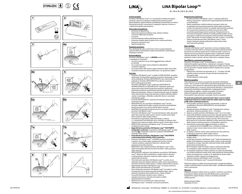











 $\%$ 













### **Určené použitie:**

**Pomôcka LiNA Bipolar Loop™ je 5 mm bipolárna elektrochirurgická** pomôcka určená na amputáciu mobilizovanej maternice počas laparoskopickej supracervikálnej (subtotálnej) hysterektómie a resekciu devaskularizovaných subseróznych stopkatých myómov. Používa sa s elektrochirurgickým generátorom.

#### **Potenciálne komplikácie:** • konverzia na laparotómiu;

- elektrochirurgické komplikácie (napr. zlyhanie izolácie, usmrtenie elektrickým prúdom);
- krvácanie;
- porucha implantovateľnej elektrickej pomôcky; • poranenie tenkého alebo hrubého čreva vrátane perforácie;
- poranenie močových ciest;
- tepelné popáleniny.

### **Populácia pacientov:**

Žena akéhokoľvek veku a hmotnosti určená na laparoskopickú supracervikálnu hysterektómiu alebo myomektómiu subseróznych stopkatých myómov.

## **Kontraindikácie:**

#### Pomôcka LiNA Bipolar LoopTM sa **NESMIE** používať v nasledujúcich situáciách:

- ak istmus maternice nie je možné pred aktiváciou zobraziť po obvode,
- ak sú maternica alebo myóm prilepené k akýmkoľvek
- susedným orgánom, ak má pacientka veľké myómy zadnej maternice alebo steny krčka,
- amputácia maternice, ktorá je dlhšia ako v 20. gestačnom týždni.

#### **Výstrahy:**

- Pomôcka LiNA Bipolar Loop™ sa dodáva STERILIZOVANÁ s použitím etylénoxidu. Pred použitím pomôcky starostlivo skontrolujte, či obal nie je poškodený. Pomôcku NEPOUŽÍVAJTE, ak je sterilná bariéra poškodená. Pomôcku NEPOUŽÍVAJTE po dátume exspirácie.
- Pomôcku LiNA Bipolar LoopTM opakovane NEPOUŽÍVAJTE, NESPRACOVÁVAJTE ani NESTERILIZUJTE. Akékoľvek opakované spracovanie môže ohroziť fungovanie pomôcky. Opakované používanie pomôcok na jednorazové použitie môže tiež zvýšiť riziko krížovej kontaminácie. Pokusy o čistenie pomôcky majú za následok riziko nesprávneho fungovania pomôcky a/alebo chybného odberu vzoriek na patológiu v dôsledku zvyškového tkaniva v pomôcke LiNA Binolar Loop™
- Pomôcku NEPOUŽÍVAJTE v prítomnosti horľavých plynov alebo horľavých kvapalín.
- NEPOUŽÍVAJTE, ak je pomôcka LiNA Bipolar LoopTM ohnutá, skrútená, zdeformovaná alebo sa úplne nerozvinie do pôvodného kosoštvorcového tvaru, keď je rukoväť úplne vysunutá. • NEUPRAVUJTE pôvodný kosoštvorcový tvar ani izoláciu elektród
- pomôcky LiNA Bipolar Loop™. • Pomôcka LiNA Bipolar LoopTM musí byť dostatočne veľká, aby prešla okolo tela maternice alebo myómu. Potom nasaďte slučku okolo
- krčka maternice alebo stopky myómu. • Pred aktiváciou generátora vždy skontrolujte, či aktívna (t. j. neizolovaná) časť elektródy nie je v kontakte so žiadnym iným
- orgánom ako maternicou alebo myómom (napr. črevom alebo cievou). • NEAKTIVUJTE pomôcku LiNA Bipolar LoopTM, ak nie je možné vizualizovať rezaciu slučku.
- **• Pred aktiváciou pomôcky LiNA Bipolar LoopTM ODSTRÁŇTE manipulátor maternice.** S pomôckou LiNA Bipolar Loop™ sa môže používať **iba** manipulátor maternice vyrobený z NEVODIVÉHO materiálu (napr. plastu).
- **• Pred aktiváciou pomôcky LiNA Bipolar LoopTM ODSTRÁŇTE vnútromaternicové teliesko (IUD) z maternice.**  • Pomôcka LiNA Bipolar LoopTM sa NESMIE používať u pacientok,
- u ktorých nie je možné úplne vypreparovať močový mechúr v dolnom prednom segmente maternice z dôvodu rizika poranenia močového mechúra.
- NEDOVOĽTE, aby sa kábel pomôcky LiNA Bipolar LoopTM počas elektrochirurgickej aktivácie dostal do kontaktu s kožou pacienta alebo chirurga.
- NEPOUŽÍVAJTE nadmernú silu/zaťaženie na pomôcku LiNA Bipolar LoopTM. Mohlo by dôjsť k poškodeniu výrobku alebo k uškrteniu a mechanickému rozrezaniu maternice alebo myómu s rizikom nadmerného krvácania.
- Pred stiahnutím pomôcky LiNA Bipolar Loop™ sa uistite, že ste elektródu aktivovali. Zlyhanie aktivácie môže viesť k mechanickému rozrezaniu maternice alebo myómu s rizikom nadmerného krvácania. Nepoužívajte pomôcku LiNA Bipolar Loop™ na rezanie maternice
- alebo myómu ako alternatívu k morcelácii. Pred vytiahnutím pomôcky LiNA Bipolar Loop™ cez trokár sa uistite,
- že keramický hrot je úplne zasunutý do drieku/trubice, aby sa zabránilo zachyteniu keramického hrotu v laloku chlopne. • Po použití zlikvidujte výrobok a obal v súlade so
- zásadami nemocnice, miestnej samosprávy a/alebo administratívnymi zásadami.
- NEAKTIVUJTE, ak sú neizolované vodiče pomôcky<br>LiNA Bipolar Loop™ v kontakte s kovovými predmetmi.

## **LiNA Bipolar Loop™**

BL-160-E, BL-200-E, BL-240-E

## **Bezpečnostné opatrenia:**

- Použitie pomôcky LiNA Bipolar LoopTM si vyžaduje adekvátny tréning a skúsenosti s vykonávaním laparoskopickej hysterektómie a myomektómie.
- Riadne nedodržanie všetkých platných postupov môže mať za následok značné poranenie pacienta, lekára alebo účastníkov a môže mať nepriaznivý účinok na výsledok vykonávaných postupov.
- Ak má pacientka implantovanú elektronickú pomôcku (IED), je potrebné prijať bezpečnostné opatrenia. Peroperačný tím sa musí pred chirurgickým zákrokom a podľa potreby poradiť s tímom spravujúcim implantovanú pomôcku. Keď je pomôcka LiNA Bipolar LoopTM aktivovaná, musí byť vzdialená viac ako ½ palca (1 cm) od IED.
- Opatrne používajte pomôcku LiNA Bipolar LoopTM s inými ostrými nástrojmi, pretože poškodenie izolácie drôtu môže viesť k poruche pomôcky.

## **Opis výrobku:**

<u>Prestý zástali.</u><br>Pomôcka LiNA Bipolar Loop™ pozostáva z čiernej vonkajšej trubice a modrej vnútornej trubice, ku ktorej je pripevnená rukoväť pomôcky. Kosoštvorcová slučka je pripevnená k vnútornej trubici a posúva sa držaním hornej časti čiernej vonkajšej trubice a zatlačením modrej rukoväte dopredu. Ak chcete slučku zasunúť, jednou rukou jemne potiahnite modrú rukoväť a druhou držte čiernu vonkajšiu trubicu.

## **Š<u>pecifikácie a nastavenia generátora:</u>**<br>Pomôcka LiNA Bipolar Loop™ je kompatibilná s väčšinou

elektrochirurgických generátorov s bipolárnym výstupom. Pripojte európsky konektor k štandardnému bipolárnemu káblu, ktorý je vhodný pre váš generátor. Pripojte bipolárny kábel k bipolárnemu výstupu na generátore.

- Odporúčané nastavenie pre generátor je 55 70 wattov. Použite najnižšie možné nastavenia schopné dosiahnuť požadovaný chirurgický efekt.
- Použite bipolárny nožný pedál. **Návod na použitie:**

**sk**

Tieto informácie sú určené na používanie pomôcky LiNA Bipolar LoopTM. Nie sú určené na demonštrovanie laparoskopických techník a postupov. Pred vykonaním akéhokoľvek laparoskopického postupu si pozrite publikovanú a uznávanú zdravotnícku literatúru s informáciami o správnych technikách, komplikáciách a nebezpečenstvách. Kontraindikácie nájdete v návode na použitie od výrobcu elektrochirurgického generátora a/alebo laparoskopu. Pred použitím tejto pomôcky si prečítajte návod na použitie!

#### **Po správnom podviazaní maternicových väzov a ciev je možné amputovať maternicu z krčka maternice alebo myóm zo stopky podľa nižšie uvedených pokynov:**

- 1. Pred použitím pomôcky starostlivo skontrolujte, či obal nie je poškodený. Pomôcku NEPOUŽÍVAJTE, ak je poškodená , .<br>sterilná bariéra.
- 2. Pripojte pomôcku LiNA Bipolar LoopTM k bipolárnemu výstupu generátora. Nastavte generátor na 55 – 70 wattov.
- 3. Opatrne zaveďte pomôcku LiNA Bipolar LoopTM cez 5 mm trokár. 4. **a.** Rozviňte elektródu (slučku) posunutím rukoväte dopredu. Pred
- umiestnením slučky okolo tela maternice alebo myómu musí byť rukoväť úplne predsunutá a slučka musí byť 100 % rozvinutá. **b.** Na pomoc pri umiestnení elektródy (slučky) okolo tela maternice alebo myómu použite grasper(re) a manipulátor maternice.
- 5. Pred aktiváciou generátora vždy skontrolujte, či aktívna (t. j. neizolovaná) časť elektródy nie je v kontakte so žiadnym orgánom (napr. črevom alebo cievou) okrem maternice alebo myómu.
- 6. **a.** Opatrne utiahnite slučku okolo spodnej časti tela maternice (nad krčkom maternice) alebo stopky myómu. **b. ODSTRÁŇTE** manipulátor maternice miernym uvoľnením napätia slučky.
- 7. **a.** Aktivujte pomôcku LiNA Bipolar LoopTM stlačením bipolárneho pedála. Pred oddelením maternice alebo myómu určite počkajte na bipolárnu energiu. Okamžité stiahnutie slučky môže spôsobiť neúmyselný mechanický rez.
- **b.** Po amputácii maternice alebo myómu neaktivujte elektródy na manipuláciu alebo rozdelenie maternice alebo myómu. 8. Po amputácii maternice z krčka maternice sa uistite, že proximálna
- časť endocervikálneho kanála, ktorá môže obsahovať endometriálne bunky, je koagulovaná, a uistite sa, že akékoľvek krvácanie alebo mokvanie na krčku maternice je koagulované. 9. Vyberte pomôcku LiNA Bipolar Loop™ cez trokár.
- 10. Pomôcku LiNA Bipolar Loop™ po použití zlikvidujte

Poskytnite pokyny na ďalšiu kontrolu pacientok v prípade komplikácií vrátane vnútrobrušného krvácania, ktoré môže v zriedkavých prípadoch viesť k vykrvácaniu.

#### **Hlásenie:**

Akýkoľvek závažný incident, ktorý sa vyskytol v súvislosti s pomôckou, je potrebné nahlásiť spoločnosti LiNA Medical ApS a príslušnému regulačnému orgánu krajiny, v ktorej sa nachádza používateľ a/alebo pacient.

#### Krajina pôvodu: Poľsko. Označenie CE 2012.